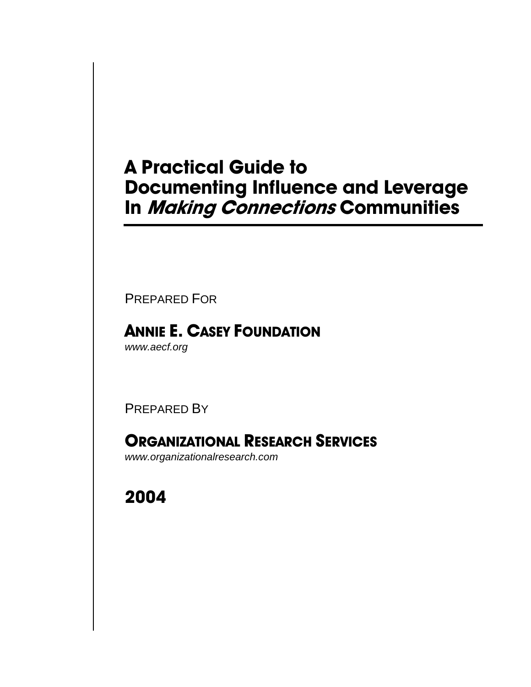# **A Practical Guide to Documenting Influence and Leverage In Making Connections Communities**

PREPARED FOR

**ANNIE E. CASEY FOUNDATION**

*www.aecf.org* 

PREPARED BY

**ORGANIZATIONAL RESEARCH SERVICES** *www.organizationalresearch.com* 

**2004**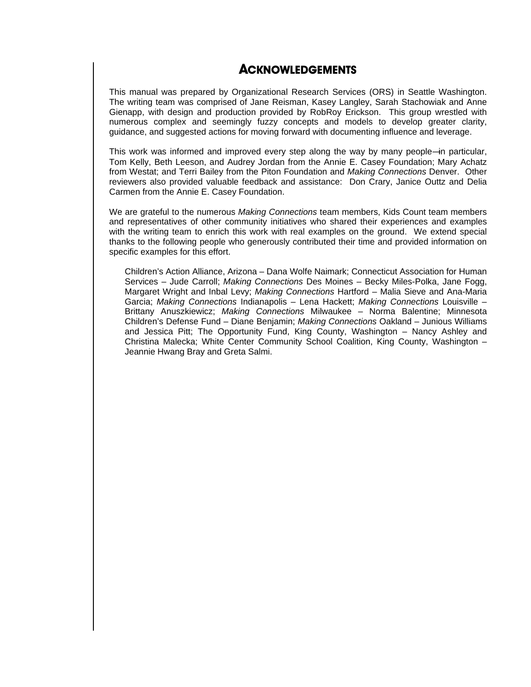#### **ACKNOWLEDGEMENTS**

This manual was prepared by Organizational Research Services (ORS) in Seattle Washington. The writing team was comprised of Jane Reisman, Kasey Langley, Sarah Stachowiak and Anne Gienapp, with design and production provided by RobRoy Erickson. This group wrestled with numerous complex and seemingly fuzzy concepts and models to develop greater clarity, guidance, and suggested actions for moving forward with documenting influence and leverage.

This work was informed and improved every step along the way by many people—in particular, Tom Kelly, Beth Leeson, and Audrey Jordan from the Annie E. Casey Foundation; Mary Achatz from Westat; and Terri Bailey from the Piton Foundation and *Making Connections* Denver. Other reviewers also provided valuable feedback and assistance: Don Crary, Janice Outtz and Delia Carmen from the Annie E. Casey Foundation.

We are grateful to the numerous *Making Connections* team members, Kids Count team members and representatives of other community initiatives who shared their experiences and examples with the writing team to enrich this work with real examples on the ground. We extend special thanks to the following people who generously contributed their time and provided information on specific examples for this effort.

Children's Action Alliance, Arizona – Dana Wolfe Naimark; Connecticut Association for Human Services – Jude Carroll; *Making Connections* Des Moines – Becky Miles-Polka, Jane Fogg, Margaret Wright and Inbal Levy; *Making Connections* Hartford – Malia Sieve and Ana-Maria Garcia; *Making Connections* Indianapolis – Lena Hackett; *Making Connections* Louisville – Brittany Anuszkiewicz; *Making Connections* Milwaukee – Norma Balentine; Minnesota Children's Defense Fund – Diane Benjamin; *Making Connections* Oakland – Junious Williams and Jessica Pitt; The Opportunity Fund, King County, Washington – Nancy Ashley and Christina Malecka; White Center Community School Coalition, King County, Washington – Jeannie Hwang Bray and Greta Salmi.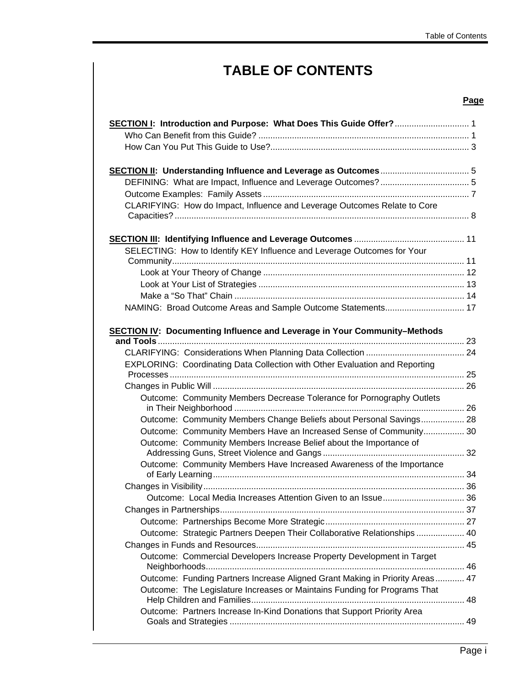# **TABLE OF CONTENTS**

#### **Page**

| SECTION 1: Introduction and Purpose: What Does This Guide Offer?  1          |  |
|------------------------------------------------------------------------------|--|
|                                                                              |  |
| CLARIFYING: How do Impact, Influence and Leverage Outcomes Relate to Core    |  |
|                                                                              |  |
| SELECTING: How to Identify KEY Influence and Leverage Outcomes for Your      |  |
|                                                                              |  |
|                                                                              |  |
|                                                                              |  |
| NAMING: Broad Outcome Areas and Sample Outcome Statements 17                 |  |
| SECTION IV: Documenting Influence and Leverage in Your Community-Methods     |  |
|                                                                              |  |
| EXPLORING: Coordinating Data Collection with Other Evaluation and Reporting  |  |
|                                                                              |  |
|                                                                              |  |
| Outcome: Community Members Decrease Tolerance for Pornography Outlets        |  |
| Outcome: Community Members Change Beliefs about Personal Savings 28          |  |
| Outcome: Community Members Have an Increased Sense of Community 30           |  |
| Outcome: Community Members Increase Belief about the Importance of           |  |
|                                                                              |  |
| Outcome: Community Members Have Increased Awareness of the Importance        |  |
|                                                                              |  |
| Outcome: Local Media Increases Attention Given to an Issue 36                |  |
|                                                                              |  |
|                                                                              |  |
| Outcome: Strategic Partners Deepen Their Collaborative Relationships  40     |  |
|                                                                              |  |
| Outcome: Commercial Developers Increase Property Development in Target       |  |
| Outcome: Funding Partners Increase Aligned Grant Making in Priority Areas 47 |  |
| Outcome: The Legislature Increases or Maintains Funding for Programs That    |  |
|                                                                              |  |
| Outcome: Partners Increase In-Kind Donations that Support Priority Area      |  |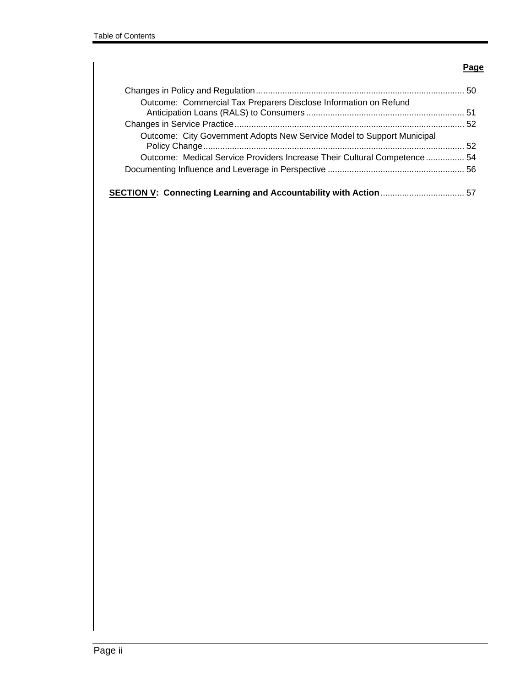#### **Page**

| Outcome: Commercial Tax Preparers Disclose Information on Refund         |  |
|--------------------------------------------------------------------------|--|
|                                                                          |  |
| Outcome: City Government Adopts New Service Model to Support Municipal   |  |
| Outcome: Medical Service Providers Increase Their Cultural Competence 54 |  |
|                                                                          |  |
|                                                                          |  |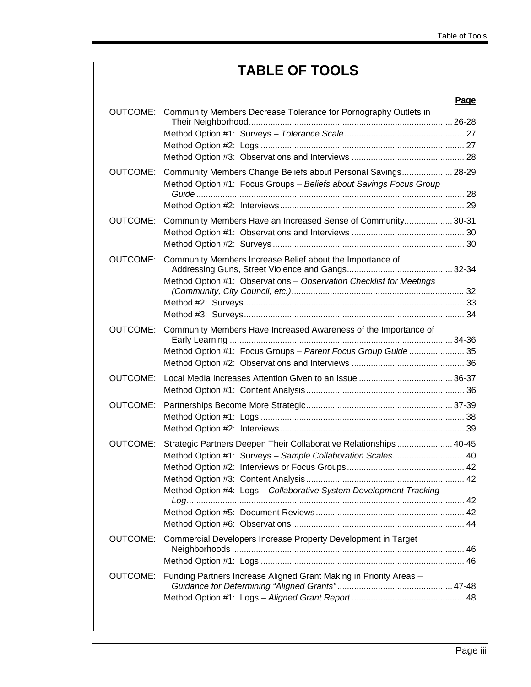# **TABLE OF TOOLS**

#### **Page**

|                 | OUTCOME: Community Members Decrease Tolerance for Pornography Outlets in                                                                                                                              |  |
|-----------------|-------------------------------------------------------------------------------------------------------------------------------------------------------------------------------------------------------|--|
|                 |                                                                                                                                                                                                       |  |
|                 |                                                                                                                                                                                                       |  |
|                 |                                                                                                                                                                                                       |  |
|                 | OUTCOME: Community Members Change Beliefs about Personal Savings 28-29<br>Method Option #1: Focus Groups - Beliefs about Savings Focus Group                                                          |  |
|                 |                                                                                                                                                                                                       |  |
|                 | OUTCOME: Community Members Have an Increased Sense of Community 30-31                                                                                                                                 |  |
| <b>OUTCOME:</b> | Community Members Increase Belief about the Importance of<br>Method Option #1: Observations - Observation Checklist for Meetings                                                                      |  |
| <b>OUTCOME:</b> | Community Members Have Increased Awareness of the Importance of<br>Method Option #1: Focus Groups - Parent Focus Group Guide 35                                                                       |  |
| OUTCOME:        |                                                                                                                                                                                                       |  |
|                 |                                                                                                                                                                                                       |  |
| <b>OUTCOME:</b> | Strategic Partners Deepen Their Collaborative Relationships 40-45<br>Method Option #1: Surveys - Sample Collaboration Scales 40<br>Method Option #4: Logs - Collaborative System Development Tracking |  |
| OUTCOME:        | Commercial Developers Increase Property Development in Target                                                                                                                                         |  |
| <b>OUTCOME:</b> | Funding Partners Increase Aligned Grant Making in Priority Areas -                                                                                                                                    |  |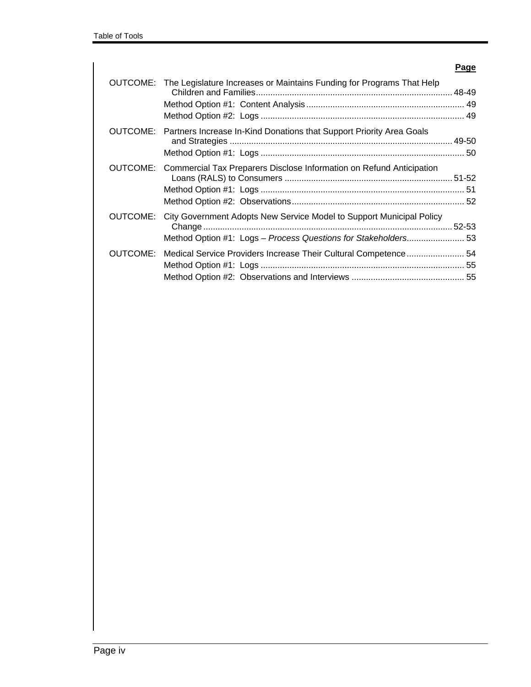#### **Page State State State State State State State State State State State State State State State State State St**

| OUTCOME: The Legislature Increases or Maintains Funding for Programs That Help |  |
|--------------------------------------------------------------------------------|--|
|                                                                                |  |
|                                                                                |  |
| OUTCOME: Partners Increase In-Kind Donations that Support Priority Area Goals  |  |
|                                                                                |  |
| OUTCOME: Commercial Tax Preparers Disclose Information on Refund Anticipation  |  |
|                                                                                |  |
|                                                                                |  |
| OUTCOME: City Government Adopts New Service Model to Support Municipal Policy  |  |
| Method Option #1: Logs - Process Questions for Stakeholders 53                 |  |
| OUTCOME: Medical Service Providers Increase Their Cultural Competence 54       |  |
|                                                                                |  |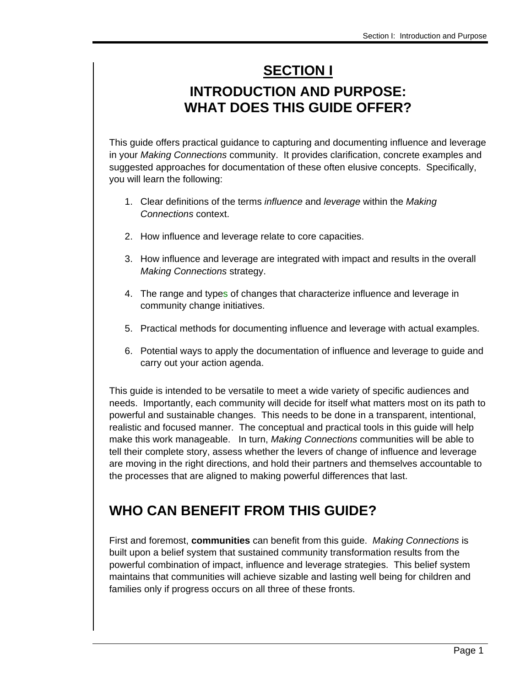# **SECTION I**

# **INTRODUCTION AND PURPOSE: WHAT DOES THIS GUIDE OFFER?**

This guide offers practical guidance to capturing and documenting influence and leverage in your *Making Connections* community. It provides clarification, concrete examples and suggested approaches for documentation of these often elusive concepts. Specifically, you will learn the following:

- 1. Clear definitions of the terms *influence* and *leverage* within the *Making Connections* context.
- 2. How influence and leverage relate to core capacities.
- 3. How influence and leverage are integrated with impact and results in the overall *Making Connections* strategy.
- 4. The range and types of changes that characterize influence and leverage in community change initiatives.
- 5. Practical methods for documenting influence and leverage with actual examples.
- 6. Potential ways to apply the documentation of influence and leverage to guide and carry out your action agenda.

This guide is intended to be versatile to meet a wide variety of specific audiences and needs. Importantly, each community will decide for itself what matters most on its path to powerful and sustainable changes. This needs to be done in a transparent, intentional, realistic and focused manner. The conceptual and practical tools in this guide will help make this work manageable. In turn, *Making Connections* communities will be able to tell their complete story, assess whether the levers of change of influence and leverage are moving in the right directions, and hold their partners and themselves accountable to the processes that are aligned to making powerful differences that last.

# **WHO CAN BENEFIT FROM THIS GUIDE?**

First and foremost, **communities** can benefit from this guide. *Making Connections* is built upon a belief system that sustained community transformation results from the powerful combination of impact, influence and leverage strategies. This belief system maintains that communities will achieve sizable and lasting well being for children and families only if progress occurs on all three of these fronts.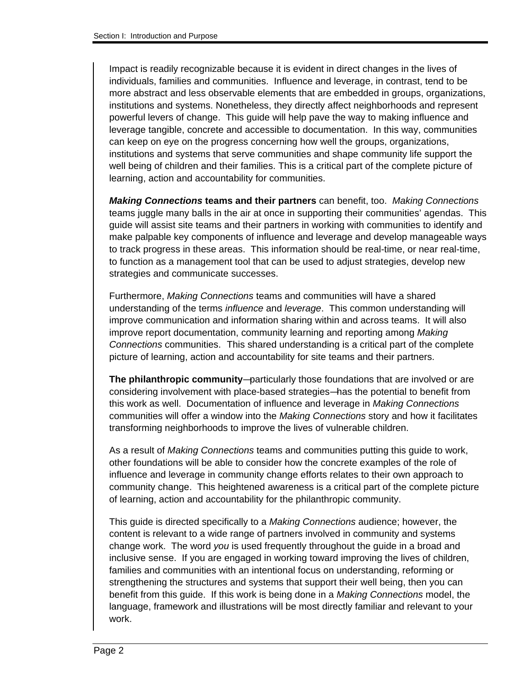Impact is readily recognizable because it is evident in direct changes in the lives of individuals, families and communities. Influence and leverage, in contrast, tend to be more abstract and less observable elements that are embedded in groups, organizations, institutions and systems. Nonetheless, they directly affect neighborhoods and represent powerful levers of change. This guide will help pave the way to making influence and leverage tangible, concrete and accessible to documentation. In this way, communities can keep on eye on the progress concerning how well the groups, organizations, institutions and systems that serve communities and shape community life support the well being of children and their families. This is a critical part of the complete picture of learning, action and accountability for communities.

*Making Connections* **teams and their partners** can benefit, too. *Making Connections* teams juggle many balls in the air at once in supporting their communities' agendas. This guide will assist site teams and their partners in working with communities to identify and make palpable key components of influence and leverage and develop manageable ways to track progress in these areas. This information should be real-time, or near real-time, to function as a management tool that can be used to adjust strategies, develop new strategies and communicate successes.

Furthermore, *Making Connections* teams and communities will have a shared understanding of the terms *influence* and *leverage*. This common understanding will improve communication and information sharing within and across teams. It will also improve report documentation, community learning and reporting among *Making Connections* communities. This shared understanding is a critical part of the complete picture of learning, action and accountability for site teams and their partners.

**The philanthropic community**—particularly those foundations that are involved or are considering involvement with place-based strategies—has the potential to benefit from this work as well. Documentation of influence and leverage in *Making Connections* communities will offer a window into the *Making Connections* story and how it facilitates transforming neighborhoods to improve the lives of vulnerable children.

As a result of *Making Connections* teams and communities putting this guide to work, other foundations will be able to consider how the concrete examples of the role of influence and leverage in community change efforts relates to their own approach to community change. This heightened awareness is a critical part of the complete picture of learning, action and accountability for the philanthropic community.

This guide is directed specifically to a *Making Connections* audience; however, the content is relevant to a wide range of partners involved in community and systems change work. The word *you* is used frequently throughout the guide in a broad and inclusive sense. If you are engaged in working toward improving the lives of children, families and communities with an intentional focus on understanding, reforming or strengthening the structures and systems that support their well being, then you can benefit from this guide. If this work is being done in a *Making Connections* model, the language, framework and illustrations will be most directly familiar and relevant to your work.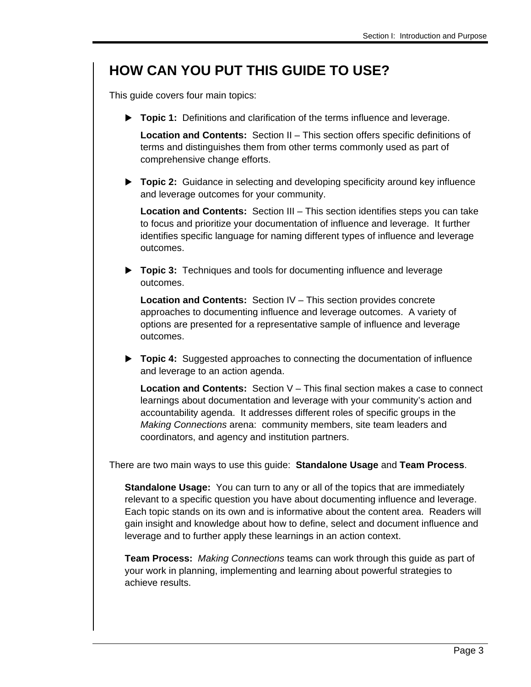# **HOW CAN YOU PUT THIS GUIDE TO USE?**

This guide covers four main topics:

**Topic 1:** Definitions and clarification of the terms influence and leverage.

**Location and Contents:** Section II – This section offers specific definitions of terms and distinguishes them from other terms commonly used as part of comprehensive change efforts.

▶ **Topic 2:** Guidance in selecting and developing specificity around key influence and leverage outcomes for your community.

**Location and Contents:** Section III – This section identifies steps you can take to focus and prioritize your documentation of influence and leverage. It further identifies specific language for naming different types of influence and leverage outcomes.

▶ Topic 3: Techniques and tools for documenting influence and leverage outcomes.

**Location and Contents:** Section IV – This section provides concrete approaches to documenting influence and leverage outcomes. A variety of options are presented for a representative sample of influence and leverage outcomes.

▶ **Topic 4:** Suggested approaches to connecting the documentation of influence and leverage to an action agenda.

**Location and Contents:** Section V – This final section makes a case to connect learnings about documentation and leverage with your community's action and accountability agenda. It addresses different roles of specific groups in the *Making Connections* arena: community members, site team leaders and coordinators, and agency and institution partners.

There are two main ways to use this guide: **Standalone Usage** and **Team Process**.

**Standalone Usage:** You can turn to any or all of the topics that are immediately relevant to a specific question you have about documenting influence and leverage. Each topic stands on its own and is informative about the content area. Readers will gain insight and knowledge about how to define, select and document influence and leverage and to further apply these learnings in an action context.

**Team Process:** *Making Connections* teams can work through this guide as part of your work in planning, implementing and learning about powerful strategies to achieve results.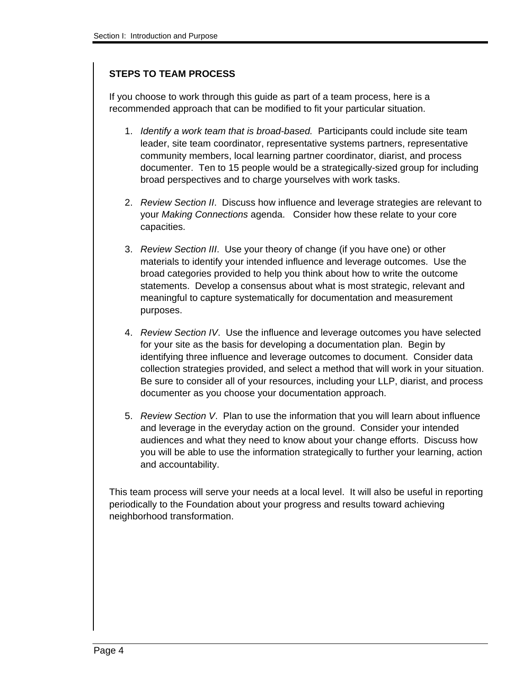#### **STEPS TO TEAM PROCESS**

If you choose to work through this guide as part of a team process, here is a recommended approach that can be modified to fit your particular situation.

- 1. *Identify a work team that is broad-based.* Participants could include site team leader, site team coordinator, representative systems partners, representative community members, local learning partner coordinator, diarist, and process documenter. Ten to 15 people would be a strategically-sized group for including broad perspectives and to charge yourselves with work tasks.
- 2. *Review Section II*. Discuss how influence and leverage strategies are relevant to your *Making Connections* agenda. Consider how these relate to your core capacities.
- 3. *Review Section III*. Use your theory of change (if you have one) or other materials to identify your intended influence and leverage outcomes. Use the broad categories provided to help you think about how to write the outcome statements. Develop a consensus about what is most strategic, relevant and meaningful to capture systematically for documentation and measurement purposes.
- 4. *Review Section IV*. Use the influence and leverage outcomes you have selected for your site as the basis for developing a documentation plan. Begin by identifying three influence and leverage outcomes to document. Consider data collection strategies provided, and select a method that will work in your situation. Be sure to consider all of your resources, including your LLP, diarist, and process documenter as you choose your documentation approach.
- 5. *Review Section V*. Plan to use the information that you will learn about influence and leverage in the everyday action on the ground. Consider your intended audiences and what they need to know about your change efforts. Discuss how you will be able to use the information strategically to further your learning, action and accountability.

This team process will serve your needs at a local level. It will also be useful in reporting periodically to the Foundation about your progress and results toward achieving neighborhood transformation.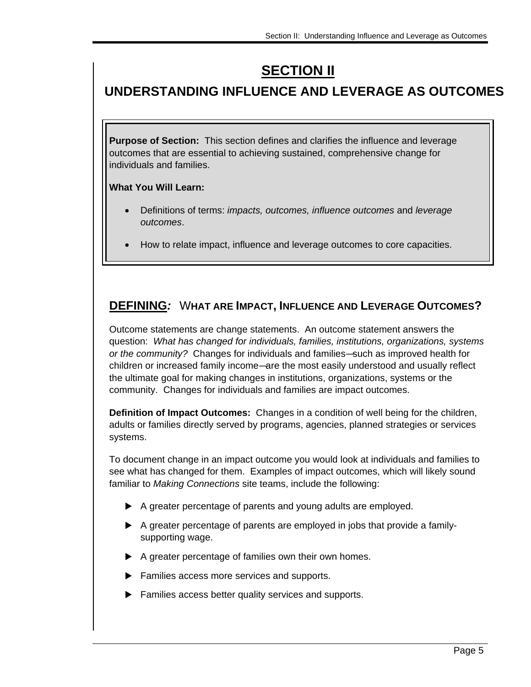# **SECTION II**

# **UNDERSTANDING INFLUENCE AND LEVERAGE AS OUTCOMES**

**Purpose of Section:** This section defines and clarifies the influence and leverage outcomes that are essential to achieving sustained, comprehensive change for individuals and families.

#### **What You Will Learn:**

- Definitions of terms: *impacts, outcomes, influence outcomes* and *leverage outcomes*.
- How to relate impact, influence and leverage outcomes to core capacities.

### **DEFINING***:* W**HAT ARE IMPACT, INFLUENCE AND LEVERAGE OUTCOMES?**

Outcome statements are change statements. An outcome statement answers the question: *What has changed for individuals, families, institutions, organizations, systems or the community?* Changes for individuals and families—such as improved health for children or increased family income—are the most easily understood and usually reflect the ultimate goal for making changes in institutions, organizations, systems or the community. Changes for individuals and families are impact outcomes.

**Definition of Impact Outcomes:** Changes in a condition of well being for the children, adults or families directly served by programs, agencies, planned strategies or services systems.

To document change in an impact outcome you would look at individuals and families to see what has changed for them. Examples of impact outcomes, which will likely sound familiar to *Making Connections* site teams, include the following:

- $\blacktriangleright$  A greater percentage of parents and young adults are employed.
- $\blacktriangleright$  A greater percentage of parents are employed in jobs that provide a familysupporting wage.
- $\blacktriangleright$  A greater percentage of families own their own homes.
- $\blacktriangleright$  Families access more services and supports.
- $\blacktriangleright$  Families access better quality services and supports.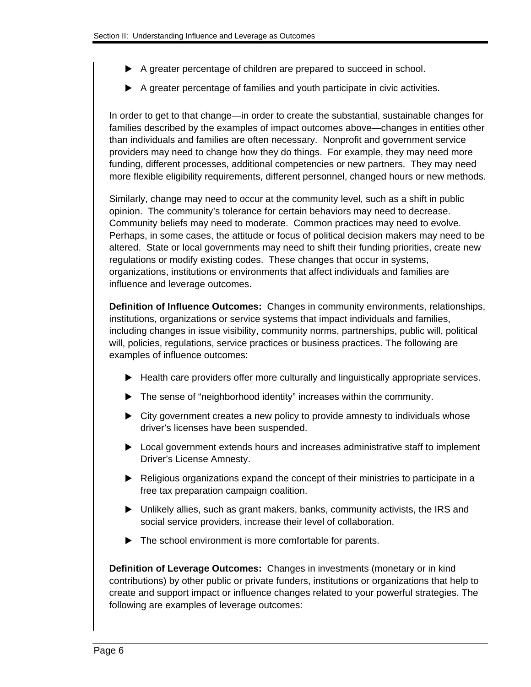- $\blacktriangleright$  A greater percentage of children are prepared to succeed in school.
- $\blacktriangleright$  A greater percentage of families and youth participate in civic activities.

In order to get to that change—in order to create the substantial, sustainable changes for families described by the examples of impact outcomes above—changes in entities other than individuals and families are often necessary. Nonprofit and government service providers may need to change how they do things. For example, they may need more funding, different processes, additional competencies or new partners. They may need more flexible eligibility requirements, different personnel, changed hours or new methods.

Similarly, change may need to occur at the community level, such as a shift in public opinion. The community's tolerance for certain behaviors may need to decrease. Community beliefs may need to moderate. Common practices may need to evolve. Perhaps, in some cases, the attitude or focus of political decision makers may need to be altered. State or local governments may need to shift their funding priorities, create new regulations or modify existing codes. These changes that occur in systems, organizations, institutions or environments that affect individuals and families are influence and leverage outcomes.

**Definition of Influence Outcomes:** Changes in community environments, relationships, institutions, organizations or service systems that impact individuals and families, including changes in issue visibility, community norms, partnerships, public will, political will, policies, regulations, service practices or business practices. The following are examples of influence outcomes:

- $\blacktriangleright$  Health care providers offer more culturally and linguistically appropriate services.
- $\blacktriangleright$  The sense of "neighborhood identity" increases within the community.
- $\triangleright$  City government creates a new policy to provide amnesty to individuals whose driver's licenses have been suspended.
- $\blacktriangleright$  Local government extends hours and increases administrative staff to implement Driver's License Amnesty.
- $\blacktriangleright$  Religious organizations expand the concept of their ministries to participate in a free tax preparation campaign coalition.
- $\blacktriangleright$  Unlikely allies, such as grant makers, banks, community activists, the IRS and social service providers, increase their level of collaboration.
- $\blacktriangleright$  The school environment is more comfortable for parents.

**Definition of Leverage Outcomes:** Changes in investments (monetary or in kind contributions) by other public or private funders, institutions or organizations that help to create and support impact or influence changes related to your powerful strategies. The following are examples of leverage outcomes: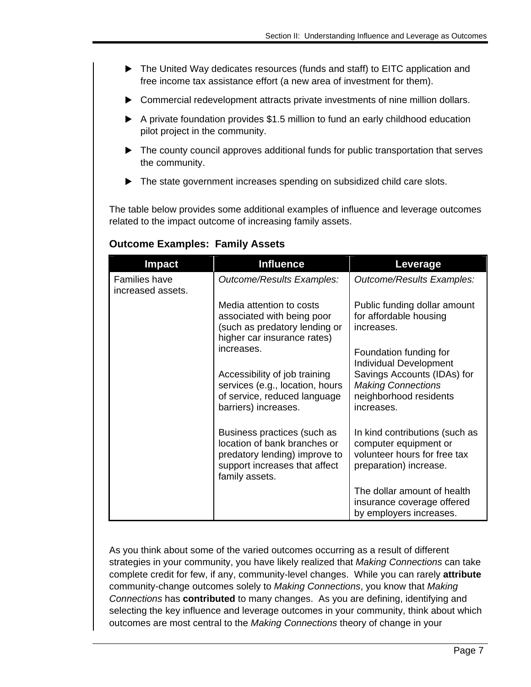- ▶ The United Way dedicates resources (funds and staff) to EITC application and free income tax assistance effort (a new area of investment for them).
- $\triangleright$  Commercial redevelopment attracts private investments of nine million dollars.
- $\blacktriangleright$  A private foundation provides \$1.5 million to fund an early childhood education pilot project in the community.
- $\blacktriangleright$  The county council approves additional funds for public transportation that serves the community.
- $\blacktriangleright$  The state government increases spending on subsidized child care slots.

The table below provides some additional examples of influence and leverage outcomes related to the impact outcome of increasing family assets.

| <b>Impact</b>                             | <b>Influence</b>                                                                                                                                | Leverage                                                                                                          |
|-------------------------------------------|-------------------------------------------------------------------------------------------------------------------------------------------------|-------------------------------------------------------------------------------------------------------------------|
| <b>Families have</b><br>increased assets. | Outcome/Results Examples:                                                                                                                       | Outcome/Results Examples:                                                                                         |
|                                           | Media attention to costs<br>associated with being poor<br>(such as predatory lending or<br>higher car insurance rates)                          | Public funding dollar amount<br>for affordable housing<br>increases.                                              |
|                                           | increases.                                                                                                                                      | Foundation funding for<br><b>Individual Development</b>                                                           |
|                                           | Accessibility of job training<br>services (e.g., location, hours<br>of service, reduced language<br>barriers) increases.                        | Savings Accounts (IDAs) for<br><b>Making Connections</b><br>neighborhood residents<br>increases.                  |
|                                           | Business practices (such as<br>location of bank branches or<br>predatory lending) improve to<br>support increases that affect<br>family assets. | In kind contributions (such as<br>computer equipment or<br>volunteer hours for free tax<br>preparation) increase. |
|                                           |                                                                                                                                                 | The dollar amount of health<br>insurance coverage offered<br>by employers increases.                              |

#### **Outcome Examples: Family Assets**

As you think about some of the varied outcomes occurring as a result of different strategies in your community, you have likely realized that *Making Connections* can take complete credit for few, if any, community-level changes. While you can rarely **attribute** community-change outcomes solely to *Making Connections*, you know that *Making Connections* has **contributed** to many changes. As you are defining, identifying and selecting the key influence and leverage outcomes in your community, think about which outcomes are most central to the *Making Connections* theory of change in your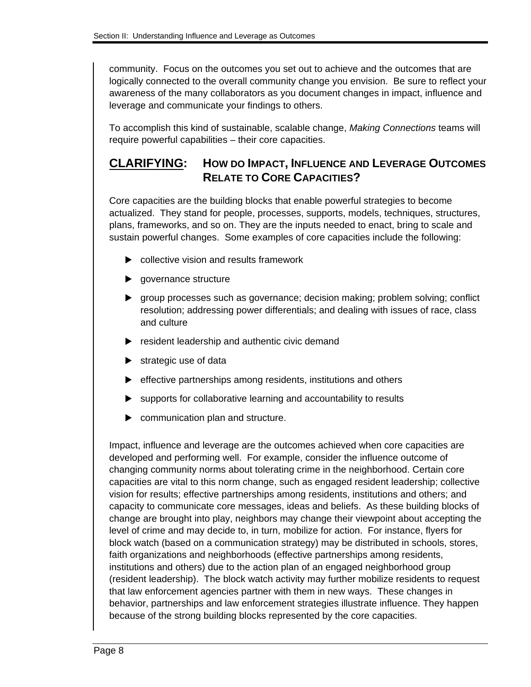community. Focus on the outcomes you set out to achieve and the outcomes that are logically connected to the overall community change you envision. Be sure to reflect your awareness of the many collaborators as you document changes in impact, influence and leverage and communicate your findings to others.

To accomplish this kind of sustainable, scalable change, *Making Connections* teams will require powerful capabilities – their core capacities.

### **CLARIFYING: HOW DO IMPACT, INFLUENCE AND LEVERAGE OUTCOMES RELATE TO CORE CAPACITIES?**

Core capacities are the building blocks that enable powerful strategies to become actualized. They stand for people, processes, supports, models, techniques, structures, plans, frameworks, and so on. They are the inputs needed to enact, bring to scale and sustain powerful changes. Some examples of core capacities include the following:

- $\triangleright$  collective vision and results framework
- $\blacktriangleright$  governance structure
- $\blacktriangleright$  group processes such as governance; decision making; problem solving; conflict resolution; addressing power differentials; and dealing with issues of race, class and culture
- $\blacktriangleright$  resident leadership and authentic civic demand
- $\blacktriangleright$  strategic use of data
- $\blacktriangleright$  effective partnerships among residents, institutions and others
- $\blacktriangleright$  supports for collaborative learning and accountability to results
- $\triangleright$  communication plan and structure.

Impact, influence and leverage are the outcomes achieved when core capacities are developed and performing well. For example, consider the influence outcome of changing community norms about tolerating crime in the neighborhood. Certain core capacities are vital to this norm change, such as engaged resident leadership; collective vision for results; effective partnerships among residents, institutions and others; and capacity to communicate core messages, ideas and beliefs. As these building blocks of change are brought into play, neighbors may change their viewpoint about accepting the level of crime and may decide to, in turn, mobilize for action. For instance, flyers for block watch (based on a communication strategy) may be distributed in schools, stores, faith organizations and neighborhoods (effective partnerships among residents, institutions and others) due to the action plan of an engaged neighborhood group (resident leadership). The block watch activity may further mobilize residents to request that law enforcement agencies partner with them in new ways. These changes in behavior, partnerships and law enforcement strategies illustrate influence. They happen because of the strong building blocks represented by the core capacities.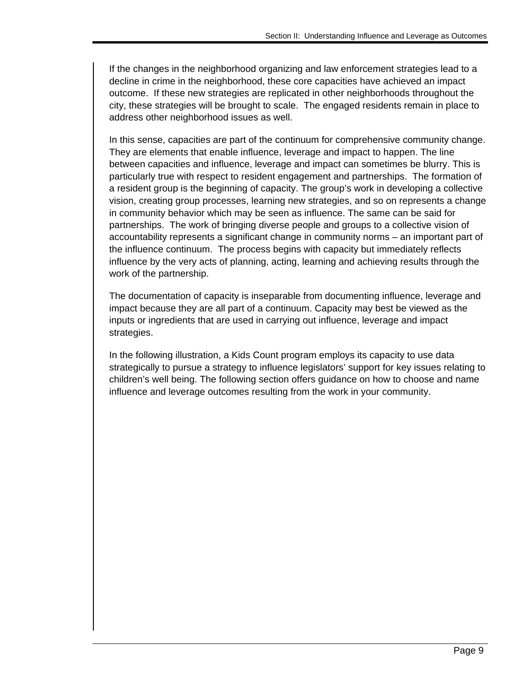If the changes in the neighborhood organizing and law enforcement strategies lead to a decline in crime in the neighborhood, these core capacities have achieved an impact outcome. If these new strategies are replicated in other neighborhoods throughout the city, these strategies will be brought to scale. The engaged residents remain in place to address other neighborhood issues as well.

In this sense, capacities are part of the continuum for comprehensive community change. They are elements that enable influence, leverage and impact to happen. The line between capacities and influence, leverage and impact can sometimes be blurry. This is particularly true with respect to resident engagement and partnerships. The formation of a resident group is the beginning of capacity. The group's work in developing a collective vision, creating group processes, learning new strategies, and so on represents a change in community behavior which may be seen as influence. The same can be said for partnerships. The work of bringing diverse people and groups to a collective vision of accountability represents a significant change in community norms – an important part of the influence continuum. The process begins with capacity but immediately reflects influence by the very acts of planning, acting, learning and achieving results through the work of the partnership.

The documentation of capacity is inseparable from documenting influence, leverage and impact because they are all part of a continuum. Capacity may best be viewed as the inputs or ingredients that are used in carrying out influence, leverage and impact strategies.

In the following illustration, a Kids Count program employs its capacity to use data strategically to pursue a strategy to influence legislators' support for key issues relating to children's well being. The following section offers guidance on how to choose and name influence and leverage outcomes resulting from the work in your community.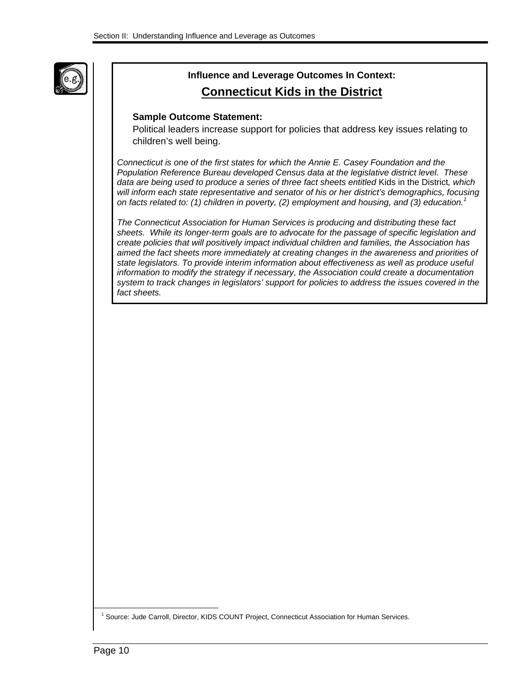

### **Influence and Leverage Outcomes In Context: Connecticut Kids in the District**

#### **Sample Outcome Statement:**

Political leaders increase support for policies that address key issues relating to children's well being.

*Connecticut is one of the first states for which the Annie E. Casey Foundation and the Population Reference Bureau developed Census data at the legislative district level. These data are being used to produce a series of three fact sheets entitled* Kids in the District*, which will inform each state representative and senator of his or her district's demographics, focusing on facts related to: (1) children in poverty, (2) employment and housing, and (3) education.<sup>1</sup>* 

*The Connecticut Association for Human Services is producing and distributing these fact sheets. While its longer-term goals are to advocate for the passage of specific legislation and create policies that will positively impact individual children and families, the Association has aimed the fact sheets more immediately at creating changes in the awareness and priorities of state legislators. To provide interim information about effectiveness as well as produce useful information to modify the strategy if necessary, the Association could create a documentation system to track changes in legislators' support for policies to address the issues covered in the fact sheets.* 

 $\overline{\phantom{0}}$ <sup>1</sup> Source: Jude Carroll, Director, KIDS COUNT Project, Connecticut Association for Human Services.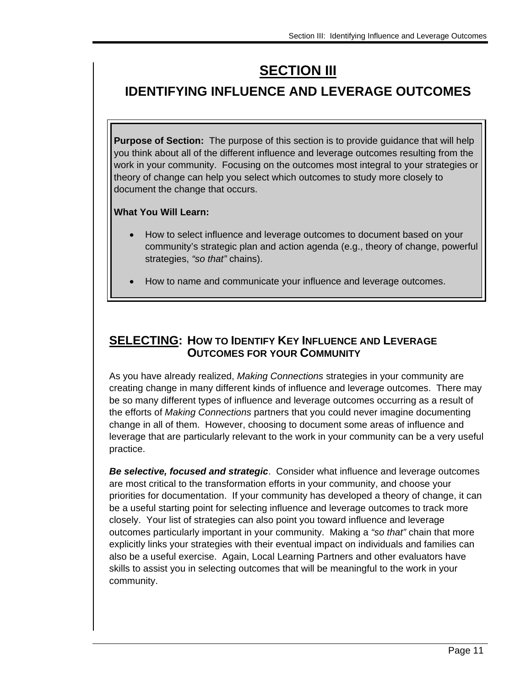# **SECTION III**

# **IDENTIFYING INFLUENCE AND LEVERAGE OUTCOMES**

**Purpose of Section:** The purpose of this section is to provide guidance that will help you think about all of the different influence and leverage outcomes resulting from the work in your community. Focusing on the outcomes most integral to your strategies or theory of change can help you select which outcomes to study more closely to document the change that occurs.

#### **What You Will Learn:**

- How to select influence and leverage outcomes to document based on your community's strategic plan and action agenda (e.g., theory of change, powerful strategies, *"so that"* chains).
- How to name and communicate your influence and leverage outcomes.

#### **SELECTING: HOW TO IDENTIFY KEY INFLUENCE AND LEVERAGE OUTCOMES FOR YOUR COMMUNITY**

As you have already realized, *Making Connections* strategies in your community are creating change in many different kinds of influence and leverage outcomes. There may be so many different types of influence and leverage outcomes occurring as a result of the efforts of *Making Connections* partners that you could never imagine documenting change in all of them. However, choosing to document some areas of influence and leverage that are particularly relevant to the work in your community can be a very useful practice.

*Be selective, focused and strategic*. Consider what influence and leverage outcomes are most critical to the transformation efforts in your community, and choose your priorities for documentation. If your community has developed a theory of change, it can be a useful starting point for selecting influence and leverage outcomes to track more closely. Your list of strategies can also point you toward influence and leverage outcomes particularly important in your community. Making a *"so that"* chain that more explicitly links your strategies with their eventual impact on individuals and families can also be a useful exercise. Again, Local Learning Partners and other evaluators have skills to assist you in selecting outcomes that will be meaningful to the work in your community.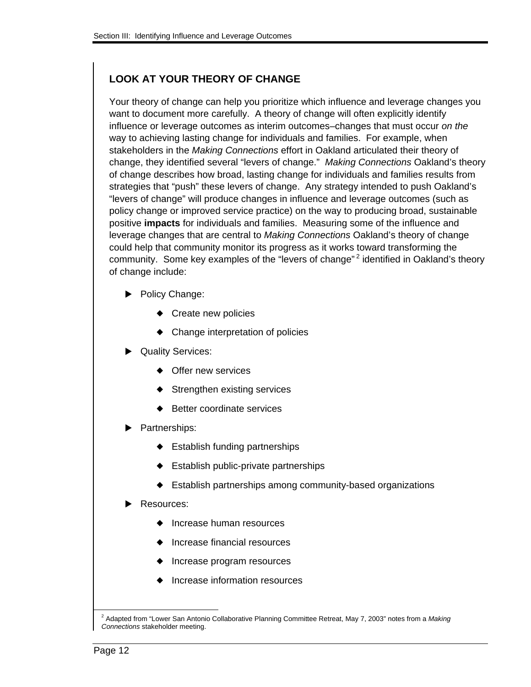### **LOOK AT YOUR THEORY OF CHANGE**

Your theory of change can help you prioritize which influence and leverage changes you want to document more carefully. A theory of change will often explicitly identify influence or leverage outcomes as interim outcomes–changes that must occur *on the*  way to achieving lasting change for individuals and families. For example, when stakeholders in the *Making Connections* effort in Oakland articulated their theory of change, they identified several "levers of change." *Making Connections* Oakland's theory of change describes how broad, lasting change for individuals and families results from strategies that "push" these levers of change. Any strategy intended to push Oakland's "levers of change" will produce changes in influence and leverage outcomes (such as policy change or improved service practice) on the way to producing broad, sustainable positive **impacts** for individuals and families. Measuring some of the influence and leverage changes that are central to *Making Connections* Oakland's theory of change could help that community monitor its progress as it works toward transforming the community.Some key examples of the "levers of change"<sup>2</sup> identified in Oakland's theory of change include:

- $\blacktriangleright$  Policy Change:
	- Create new policies
	- $\bullet$  Change interpretation of policies
- ▶ Quality Services:
	- Offer new services
	- $\blacklozenge$  Strengthen existing services
	- Better coordinate services
- **>** Partnerships:
	- $\blacklozenge$  Establish funding partnerships
	- $\bullet$  Establish public-private partnerships
	- Establish partnerships among community-based organizations

#### Resources:

- **Increase human resources**
- Increase financial resources
- Increase program resources
- Increase information resources

<span id="page-17-0"></span>2 Adapted from "Lower San Antonio Collaborative Planning Committee Retreat, May 7, 2003" notes from a *Making Connections* stakeholder meeting.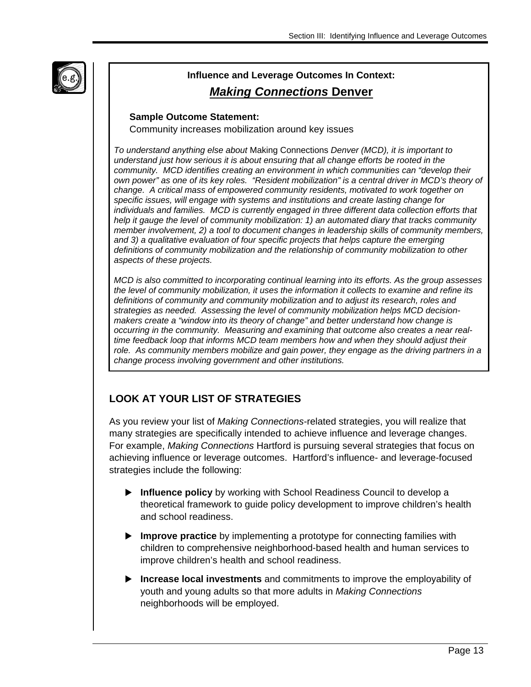

## **Influence and Leverage Outcomes In Context:**  *Making Connections* **Denver**

#### **Sample Outcome Statement:**

Community increases mobilization around key issues

*To understand anything else about* Making Connections *Denver (MCD), it is important to understand just how serious it is about ensuring that all change efforts be rooted in the community. MCD identifies creating an environment in which communities can "develop their own power" as one of its key roles. "Resident mobilization" is a central driver in MCD's theory of change. A critical mass of empowered community residents, motivated to work together on specific issues, will engage with systems and institutions and create lasting change for individuals and families. MCD is currently engaged in three different data collection efforts that help it gauge the level of community mobilization: 1) an automated diary that tracks community member involvement, 2) a tool to document changes in leadership skills of community members, and 3) a qualitative evaluation of four specific projects that helps capture the emerging definitions of community mobilization and the relationship of community mobilization to other aspects of these projects.* 

*MCD is also committed to incorporating continual learning into its efforts. As the group assesses the level of community mobilization, it uses the information it collects to examine and refine its definitions of community and community mobilization and to adjust its research, roles and strategies as needed. Assessing the level of community mobilization helps MCD decisionmakers create a "window into its theory of change" and better understand how change is occurring in the community. Measuring and examining that outcome also creates a near realtime feedback loop that informs MCD team members how and when they should adjust their*  role. As community members mobilize and gain power, they engage as the driving partners in a *change process involving government and other institutions.* 

### **LOOK AT YOUR LIST OF STRATEGIES**

As you review your list of *Making Connections*-related strategies, you will realize that many strategies are specifically intended to achieve influence and leverage changes. For example, *Making Connections* Hartford is pursuing several strategies that focus on achieving influence or leverage outcomes. Hartford's influence- and leverage-focused strategies include the following:

- **Influence policy** by working with School Readiness Council to develop a theoretical framework to guide policy development to improve children's health and school readiness.
- **Improve practice** by implementing a prototype for connecting families with children to comprehensive neighborhood-based health and human services to improve children's health and school readiness.
- **Increase local investments** and commitments to improve the employability of youth and young adults so that more adults in *Making Connections* neighborhoods will be employed.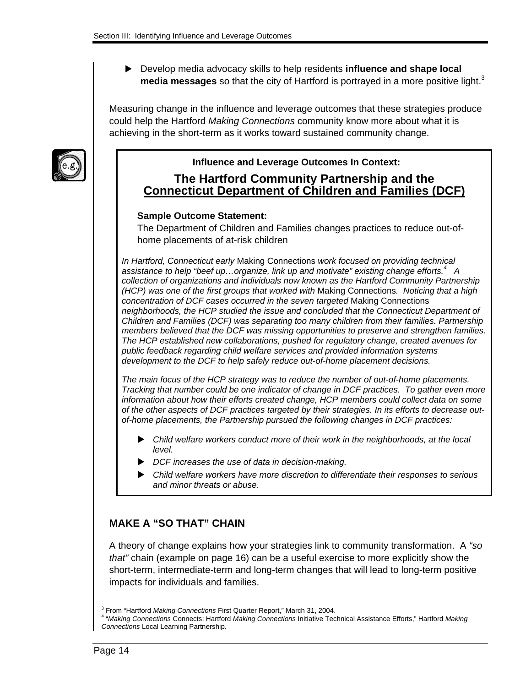▶ Develop media advocacy skills to help residents **influence and shape local media messages** so that the city of Hartford is portrayed in a more positive light[.](#page-19-0)<sup>3</sup>

Measuring change in the influence and leverage outcomes that these strategies produce could help the Hartford *Making Connections* community know more about what it is achieving in the short-term as it works toward sustained community change.



#### **Influence and Leverage Outcomes In Context: The Hartford Community Partnership and the Connecticut Department of Children and Families (DCF)**

#### **Sample Outcome Statement:**

The Department of Children and Families changes practices to reduce out-ofhome placements of at-risk children

*In Hartford, Connecticut early* Making Connections *work focused on providing technical assistance to help "beef up…organize, link up and motivate" existing change efforts.[4](#page-19-1) A collection of organizations and individuals now known as the Hartford Community Partnership (HCP) was one of the first groups that worked with* Making Connections*. Noticing that a high concentration of DCF cases occurred in the seven targeted* Making Connections neighborhoods, the HCP studied the issue and concluded that the Connecticut Department of *Children and Families (DCF) was separating too many children from their families. Partnership members believed that the DCF was missing opportunities to preserve and strengthen families. The HCP established new collaborations, pushed for regulatory change, created avenues for public feedback regarding child welfare services and provided information systems development to the DCF to help safely reduce out-of-home placement decisions.* 

*The main focus of the HCP strategy was to reduce the number of out-of-home placements. Tracking that number could be one indicator of change in DCF practices. To gather even more information about how their efforts created change, HCP members could collect data on some of the other aspects of DCF practices targeted by their strategies. In its efforts to decrease outof-home placements, the Partnership pursued the following changes in DCF practices:* 

- X *Child welfare workers conduct more of their work in the neighborhoods, at the local level.*
- ▶ *DCF increases the use of data in decision-making.*
- X *Child welfare workers have more discretion to differentiate their responses to serious and minor threats or abuse.*

#### **MAKE A "SO THAT" CHAIN**

A theory of change explains how your strategies link to community transformation. A *"so that"* chain (example on page 16) can be a useful exercise to more explicitly show the short-term, intermediate-term and long-term changes that will lead to long-term positive impacts for individuals and families.

 $\overline{\phantom{0}}$ <sup>3</sup> From "Hartford *Making Connections* First Quarter Report," March 31, 2004.<br><sup>4</sup> "Making Connections Connects: Ustford Making Connections Initiative Teal

<span id="page-19-1"></span><span id="page-19-0"></span> <sup>&</sup>quot;*Making Connections* Connects: Hartford *Making Connections* Initiative Technical Assistance Efforts," Hartford *Making Connections* Local Learning Partnership.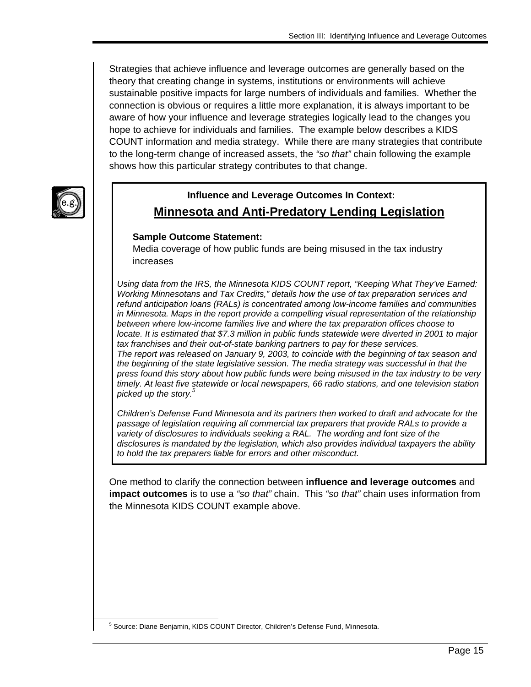Strategies that achieve influence and leverage outcomes are generally based on the theory that creating change in systems, institutions or environments will achieve sustainable positive impacts for large numbers of individuals and families. Whether the connection is obvious or requires a little more explanation, it is always important to be aware of how your influence and leverage strategies logically lead to the changes you hope to achieve for individuals and families. The example below describes a KIDS COUNT information and media strategy. While there are many strategies that contribute to the long-term change of increased assets, the *"so that"* chain following the example shows how this particular strategy contributes to that change.



### **Influence and Leverage Outcomes In Context: Minnesota and Anti-Predatory Lending Legislation**

#### **Sample Outcome Statement:**

Media coverage of how public funds are being misused in the tax industry increases

*Using data from the IRS, the Minnesota KIDS COUNT report, "Keeping What They've Earned: Working Minnesotans and Tax Credits," details how the use of tax preparation services and refund anticipation loans (RALs) is concentrated among low-income families and communities in Minnesota. Maps in the report provide a compelling visual representation of the relationship between where low-income families live and where the tax preparation offices choose to locate. It is estimated that \$7.3 million in public funds statewide were diverted in 2001 to major tax franchises and their out-of-state banking partners to pay for these services. The report was released on January 9, 2003, to coincide with the beginning of tax season and the beginning of the state legislative session. The media strategy was successful in that the press found this story about how public funds were being misused in the tax industry to be very timely. At least five statewide or local newspapers, 66 radio stations, and one television station picked up the story.[5](#page-20-0)* 

*Children's Defense Fund Minnesota and its partners then worked to draft and advocate for the passage of legislation requiring all commercial tax preparers that provide RALs to provide a variety of disclosures to individuals seeking a RAL. The wording and font size of the disclosures is mandated by the legislation, which also provides individual taxpayers the ability to hold the tax preparers liable for errors and other misconduct.*

One method to clarify the connection between **influence and leverage outcomes** and **impact outcomes** is to use a *"so that"* chain. This *"so that"* chain uses information from the Minnesota KIDS COUNT example above.

<span id="page-20-0"></span> $\frac{1}{5}$ <sup>5</sup> Source: Diane Benjamin, KIDS COUNT Director, Children's Defense Fund, Minnesota.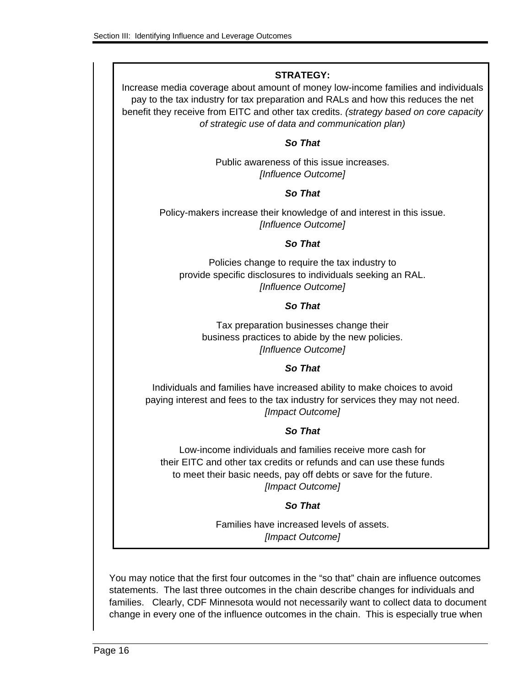#### **STRATEGY:**

Increase media coverage about amount of money low-income families and individuals pay to the tax industry for tax preparation and RALs and how this reduces the net benefit they receive from EITC and other tax credits. *(strategy based on core capacity of strategic use of data and communication plan)* 

#### *So That*

Public awareness of this issue increases. *[Influence Outcome]* 

#### *So That*

Policy-makers increase their knowledge of and interest in this issue. *[Influence Outcome]* 

#### *So That*

Policies change to require the tax industry to provide specific disclosures to individuals seeking an RAL. *[Influence Outcome]* 

#### *So That*

Tax preparation businesses change their business practices to abide by the new policies. *[Influence Outcome]* 

#### *So That*

Individuals and families have increased ability to make choices to avoid paying interest and fees to the tax industry for services they may not need. *[Impact Outcome]* 

#### *So That*

Low-income individuals and families receive more cash for their EITC and other tax credits or refunds and can use these funds to meet their basic needs, pay off debts or save for the future. *[Impact Outcome]* 

#### *So That*

Families have increased levels of assets. *[Impact Outcome]* 

You may notice that the first four outcomes in the "so that" chain are influence outcomes statements. The last three outcomes in the chain describe changes for individuals and families. Clearly, CDF Minnesota would not necessarily want to collect data to document change in every one of the influence outcomes in the chain. This is especially true when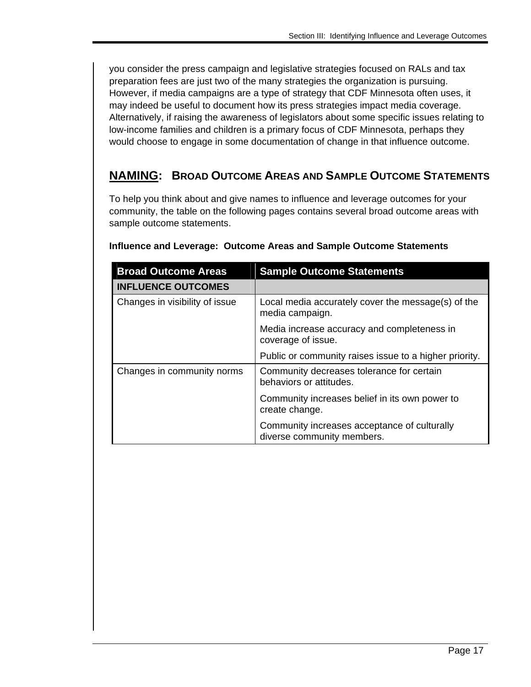you consider the press campaign and legislative strategies focused on RALs and tax preparation fees are just two of the many strategies the organization is pursuing. However, if media campaigns are a type of strategy that CDF Minnesota often uses, it may indeed be useful to document how its press strategies impact media coverage. Alternatively, if raising the awareness of legislators about some specific issues relating to low-income families and children is a primary focus of CDF Minnesota, perhaps they would choose to engage in some documentation of change in that influence outcome.

### **NAMING: BROAD OUTCOME AREAS AND SAMPLE OUTCOME STATEMENTS**

To help you think about and give names to influence and leverage outcomes for your community, the table on the following pages contains several broad outcome areas with sample outcome statements.

| <b>Broad Outcome Areas</b>     | <b>Sample Outcome Statements</b>                                           |
|--------------------------------|----------------------------------------------------------------------------|
| <b>INFLUENCE OUTCOMES</b>      |                                                                            |
| Changes in visibility of issue | Local media accurately cover the message(s) of the<br>media campaign.      |
|                                | Media increase accuracy and completeness in<br>coverage of issue.          |
|                                | Public or community raises issue to a higher priority.                     |
| Changes in community norms     | Community decreases tolerance for certain<br>behaviors or attitudes.       |
|                                | Community increases belief in its own power to<br>create change.           |
|                                | Community increases acceptance of culturally<br>diverse community members. |

#### **Influence and Leverage: Outcome Areas and Sample Outcome Statements**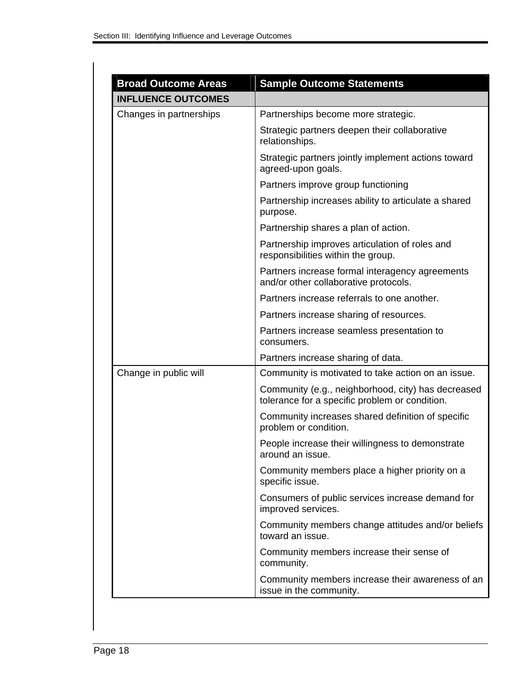| <b>Broad Outcome Areas</b> | <b>Sample Outcome Statements</b>                                                                     |
|----------------------------|------------------------------------------------------------------------------------------------------|
| <b>INFLUENCE OUTCOMES</b>  |                                                                                                      |
| Changes in partnerships    | Partnerships become more strategic.                                                                  |
|                            | Strategic partners deepen their collaborative<br>relationships.                                      |
|                            | Strategic partners jointly implement actions toward<br>agreed-upon goals.                            |
|                            | Partners improve group functioning                                                                   |
|                            | Partnership increases ability to articulate a shared<br>purpose.                                     |
|                            | Partnership shares a plan of action.                                                                 |
|                            | Partnership improves articulation of roles and<br>responsibilities within the group.                 |
|                            | Partners increase formal interagency agreements<br>and/or other collaborative protocols.             |
|                            | Partners increase referrals to one another.                                                          |
|                            | Partners increase sharing of resources.                                                              |
|                            | Partners increase seamless presentation to<br>consumers.                                             |
|                            | Partners increase sharing of data.                                                                   |
| Change in public will      | Community is motivated to take action on an issue.                                                   |
|                            | Community (e.g., neighborhood, city) has decreased<br>tolerance for a specific problem or condition. |
|                            | Community increases shared definition of specific<br>problem or condition.                           |
|                            | People increase their willingness to demonstrate<br>around an issue.                                 |
|                            | Community members place a higher priority on a<br>specific issue.                                    |
|                            | Consumers of public services increase demand for<br>improved services.                               |
|                            | Community members change attitudes and/or beliefs<br>toward an issue.                                |
|                            | Community members increase their sense of<br>community.                                              |
|                            | Community members increase their awareness of an<br>issue in the community.                          |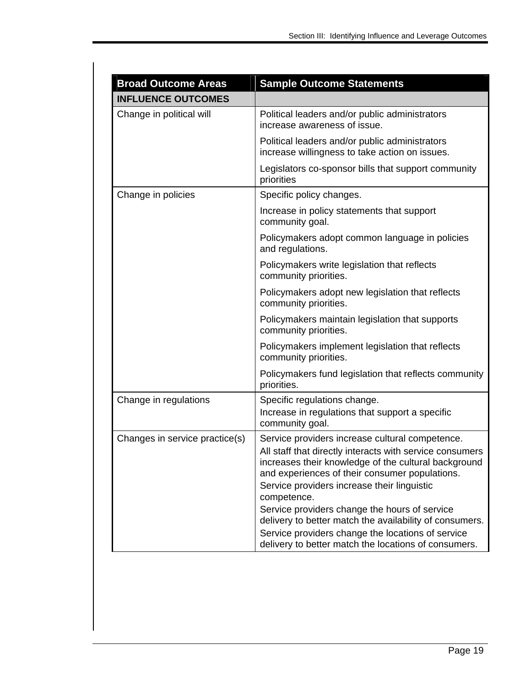| <b>Broad Outcome Areas</b>     | <b>Sample Outcome Statements</b>                                                                                                                                                                                                                                                                                                                                                                |
|--------------------------------|-------------------------------------------------------------------------------------------------------------------------------------------------------------------------------------------------------------------------------------------------------------------------------------------------------------------------------------------------------------------------------------------------|
| <b>INFLUENCE OUTCOMES</b>      |                                                                                                                                                                                                                                                                                                                                                                                                 |
| Change in political will       | Political leaders and/or public administrators<br>increase awareness of issue.                                                                                                                                                                                                                                                                                                                  |
|                                | Political leaders and/or public administrators<br>increase willingness to take action on issues.                                                                                                                                                                                                                                                                                                |
|                                | Legislators co-sponsor bills that support community<br>priorities                                                                                                                                                                                                                                                                                                                               |
| Change in policies             | Specific policy changes.                                                                                                                                                                                                                                                                                                                                                                        |
|                                | Increase in policy statements that support<br>community goal.                                                                                                                                                                                                                                                                                                                                   |
|                                | Policymakers adopt common language in policies<br>and regulations.                                                                                                                                                                                                                                                                                                                              |
|                                | Policymakers write legislation that reflects<br>community priorities.                                                                                                                                                                                                                                                                                                                           |
|                                | Policymakers adopt new legislation that reflects<br>community priorities.                                                                                                                                                                                                                                                                                                                       |
|                                | Policymakers maintain legislation that supports<br>community priorities.                                                                                                                                                                                                                                                                                                                        |
|                                | Policymakers implement legislation that reflects<br>community priorities.                                                                                                                                                                                                                                                                                                                       |
|                                | Policymakers fund legislation that reflects community<br>priorities.                                                                                                                                                                                                                                                                                                                            |
| Change in regulations          | Specific regulations change.<br>Increase in regulations that support a specific<br>community goal.                                                                                                                                                                                                                                                                                              |
| Changes in service practice(s) | Service providers increase cultural competence.<br>All staff that directly interacts with service consumers<br>increases their knowledge of the cultural background<br>and experiences of their consumer populations.<br>Service providers increase their linguistic<br>competence.<br>Service providers change the hours of service<br>delivery to better match the availability of consumers. |
|                                | Service providers change the locations of service<br>delivery to better match the locations of consumers.                                                                                                                                                                                                                                                                                       |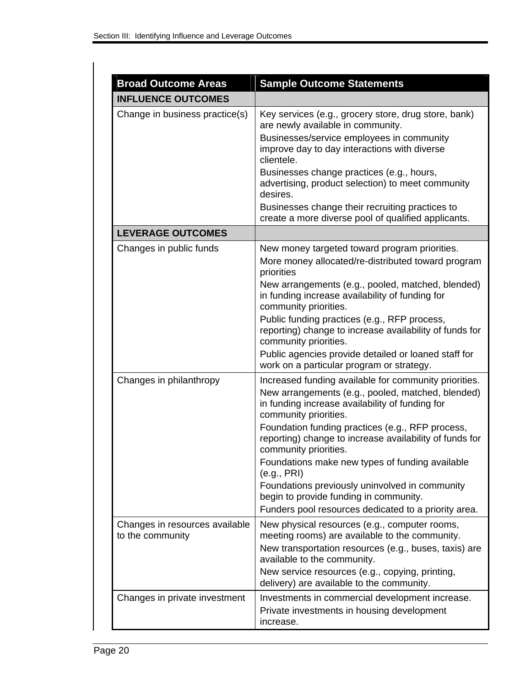| <b>Broad Outcome Areas</b>                         | <b>Sample Outcome Statements</b>                                                                                                                                                                                                                                                                                                                                                                                                                                                                                                                     |
|----------------------------------------------------|------------------------------------------------------------------------------------------------------------------------------------------------------------------------------------------------------------------------------------------------------------------------------------------------------------------------------------------------------------------------------------------------------------------------------------------------------------------------------------------------------------------------------------------------------|
| <b>INFLUENCE OUTCOMES</b>                          |                                                                                                                                                                                                                                                                                                                                                                                                                                                                                                                                                      |
| Change in business practice(s)                     | Key services (e.g., grocery store, drug store, bank)<br>are newly available in community.<br>Businesses/service employees in community<br>improve day to day interactions with diverse<br>clientele.<br>Businesses change practices (e.g., hours,<br>advertising, product selection) to meet community<br>desires.<br>Businesses change their recruiting practices to<br>create a more diverse pool of qualified applicants.                                                                                                                         |
| <b>LEVERAGE OUTCOMES</b>                           |                                                                                                                                                                                                                                                                                                                                                                                                                                                                                                                                                      |
| Changes in public funds                            | New money targeted toward program priorities.<br>More money allocated/re-distributed toward program<br>priorities<br>New arrangements (e.g., pooled, matched, blended)<br>in funding increase availability of funding for<br>community priorities.<br>Public funding practices (e.g., RFP process,<br>reporting) change to increase availability of funds for<br>community priorities.<br>Public agencies provide detailed or loaned staff for<br>work on a particular program or strategy.                                                          |
| Changes in philanthropy                            | Increased funding available for community priorities.<br>New arrangements (e.g., pooled, matched, blended)<br>in funding increase availability of funding for<br>community priorities.<br>Foundation funding practices (e.g., RFP process,<br>reporting) change to increase availability of funds for<br>community priorities.<br>Foundations make new types of funding available<br>(e.g., PRI)<br>Foundations previously uninvolved in community<br>begin to provide funding in community.<br>Funders pool resources dedicated to a priority area. |
| Changes in resources available<br>to the community | New physical resources (e.g., computer rooms,<br>meeting rooms) are available to the community.<br>New transportation resources (e.g., buses, taxis) are<br>available to the community.<br>New service resources (e.g., copying, printing,<br>delivery) are available to the community.                                                                                                                                                                                                                                                              |
| Changes in private investment                      | Investments in commercial development increase.<br>Private investments in housing development<br>increase.                                                                                                                                                                                                                                                                                                                                                                                                                                           |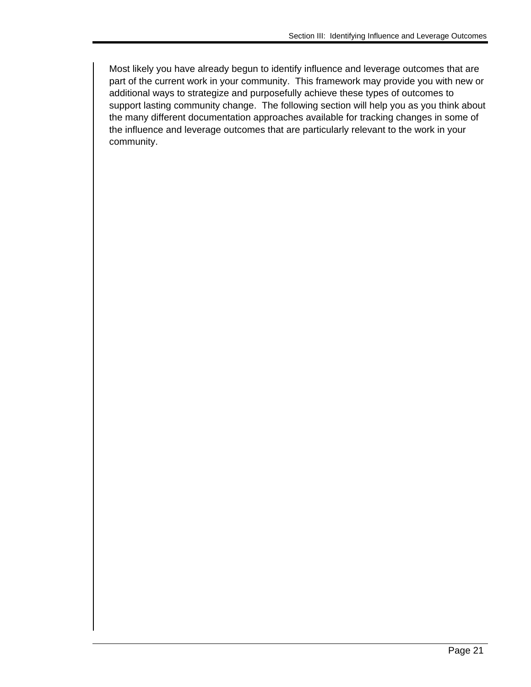Most likely you have already begun to identify influence and leverage outcomes that are part of the current work in your community. This framework may provide you with new or additional ways to strategize and purposefully achieve these types of outcomes to support lasting community change. The following section will help you as you think about the many different documentation approaches available for tracking changes in some of the influence and leverage outcomes that are particularly relevant to the work in your community.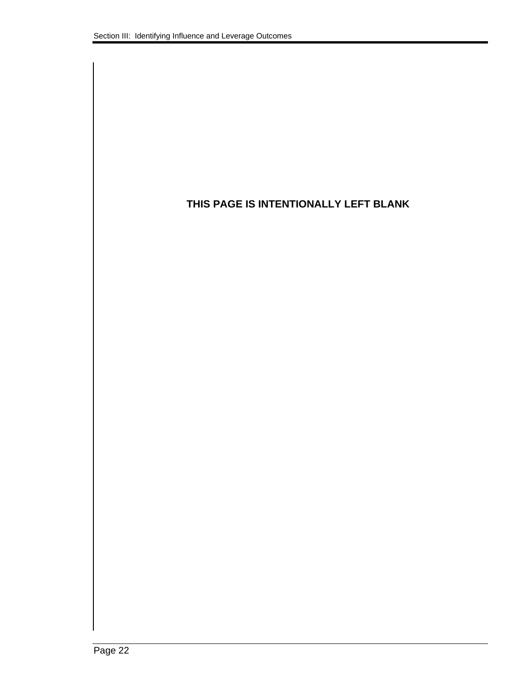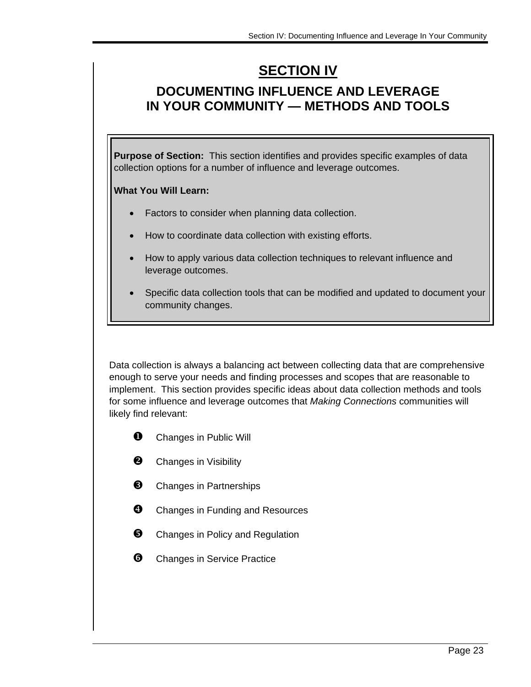# **SECTION IV**

# **DOCUMENTING INFLUENCE AND LEVERAGE IN YOUR COMMUNITY — METHODS AND TOOLS**

**Purpose of Section:** This section identifies and provides specific examples of data collection options for a number of influence and leverage outcomes.

#### **What You Will Learn:**

- Factors to consider when planning data collection.
- How to coordinate data collection with existing efforts.
- How to apply various data collection techniques to relevant influence and leverage outcomes.
- Specific data collection tools that can be modified and updated to document your community changes.

Data collection is always a balancing act between collecting data that are comprehensive enough to serve your needs and finding processes and scopes that are reasonable to implement. This section provides specific ideas about data collection methods and tools for some influence and leverage outcomes that *Making Connections* communities will likely find relevant:

- **O** Changes in Public Will
- **2** Changes in Visibility
- **8** Changes in Partnerships
- **4** Changes in Funding and Resources
- $\Theta$  Changes in Policy and Regulation
- **6** Changes in Service Practice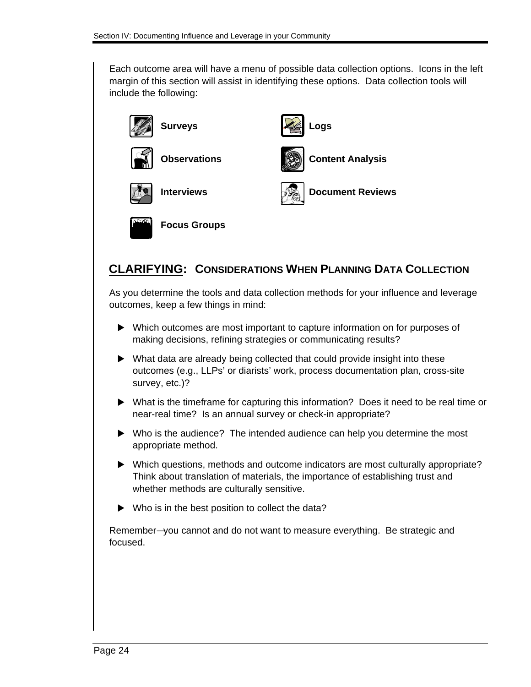Each outcome area will have a menu of possible data collection options. Icons in the left margin of this section will assist in identifying these options. Data collection tools will include the following:



### **CLARIFYING: CONSIDERATIONS WHEN PLANNING DATA COLLECTION**

As you determine the tools and data collection methods for your influence and leverage outcomes, keep a few things in mind:

- $\blacktriangleright$  Which outcomes are most important to capture information on for purposes of making decisions, refining strategies or communicating results?
- $\blacktriangleright$  What data are already being collected that could provide insight into these outcomes (e.g., LLPs' or diarists' work, process documentation plan, cross-site survey, etc.)?
- $\blacktriangleright$  What is the timeframe for capturing this information? Does it need to be real time or near-real time? Is an annual survey or check-in appropriate?
- $\blacktriangleright$  Who is the audience? The intended audience can help you determine the most appropriate method.
- $\blacktriangleright$  Which questions, methods and outcome indicators are most culturally appropriate? Think about translation of materials, the importance of establishing trust and whether methods are culturally sensitive.
- $\blacktriangleright$  Who is in the best position to collect the data?

Remember—you cannot and do not want to measure everything. Be strategic and focused.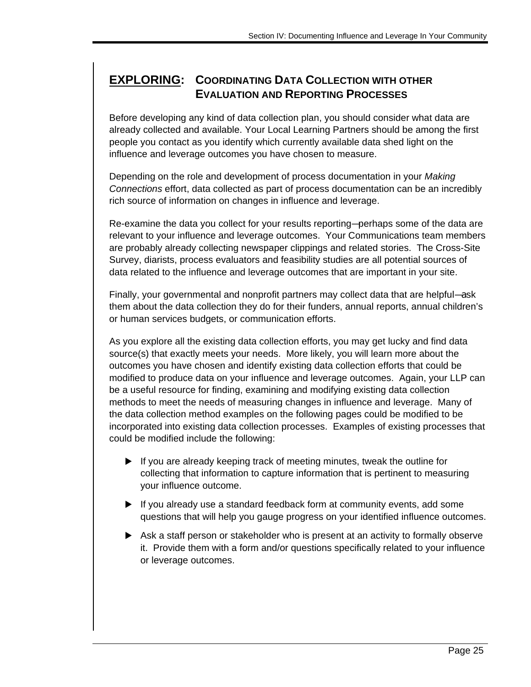### **EXPLORING: COORDINATING DATA COLLECTION WITH OTHER EVALUATION AND REPORTING PROCESSES**

Before developing any kind of data collection plan, you should consider what data are already collected and available. Your Local Learning Partners should be among the first people you contact as you identify which currently available data shed light on the influence and leverage outcomes you have chosen to measure.

Depending on the role and development of process documentation in your *Making Connections* effort, data collected as part of process documentation can be an incredibly rich source of information on changes in influence and leverage.

Re-examine the data you collect for your results reporting—perhaps some of the data are relevant to your influence and leverage outcomes. Your Communications team members are probably already collecting newspaper clippings and related stories. The Cross-Site Survey, diarists, process evaluators and feasibility studies are all potential sources of data related to the influence and leverage outcomes that are important in your site.

Finally, your governmental and nonprofit partners may collect data that are helpful—ask them about the data collection they do for their funders, annual reports, annual children's or human services budgets, or communication efforts.

As you explore all the existing data collection efforts, you may get lucky and find data source(s) that exactly meets your needs. More likely, you will learn more about the outcomes you have chosen and identify existing data collection efforts that could be modified to produce data on your influence and leverage outcomes. Again, your LLP can be a useful resource for finding, examining and modifying existing data collection methods to meet the needs of measuring changes in influence and leverage. Many of the data collection method examples on the following pages could be modified to be incorporated into existing data collection processes. Examples of existing processes that could be modified include the following:

- $\blacktriangleright$  If you are already keeping track of meeting minutes, tweak the outline for collecting that information to capture information that is pertinent to measuring your influence outcome.
- $\blacktriangleright$  If you already use a standard feedback form at community events, add some questions that will help you gauge progress on your identified influence outcomes.
- $\triangleright$  Ask a staff person or stakeholder who is present at an activity to formally observe it. Provide them with a form and/or questions specifically related to your influence or leverage outcomes.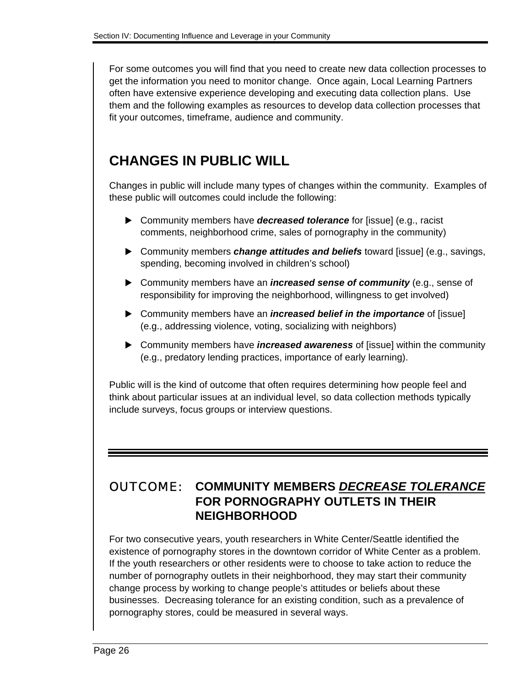For some outcomes you will find that you need to create new data collection processes to get the information you need to monitor change. Once again, Local Learning Partners often have extensive experience developing and executing data collection plans. Use them and the following examples as resources to develop data collection processes that fit your outcomes, timeframe, audience and community.

# **CHANGES IN PUBLIC WILL**

Changes in public will include many types of changes within the community. Examples of these public will outcomes could include the following:

- ▶ Community members have *decreased tolerance* for [issue] (e.g., racist comments, neighborhood crime, sales of pornography in the community)
- ▶ Community members *change attitudes and beliefs* toward [issue] (e.g., savings, spending, becoming involved in children's school)
- ▶ Community members have an *increased sense of community* (e.g., sense of responsibility for improving the neighborhood, willingness to get involved)
- ▶ Community members have an *increased belief in the importance* of [issue] (e.g., addressing violence, voting, socializing with neighbors)
- ▶ Community members have *increased awareness* of [issue] within the community (e.g., predatory lending practices, importance of early learning).

Public will is the kind of outcome that often requires determining how people feel and think about particular issues at an individual level, so data collection methods typically include surveys, focus groups or interview questions.

### OUTCOME: **COMMUNITY MEMBERS** *DECREASE TOLERANCE* **FOR PORNOGRAPHY OUTLETS IN THEIR NEIGHBORHOOD**

For two consecutive years, youth researchers in White Center/Seattle identified the existence of pornography stores in the downtown corridor of White Center as a problem. If the youth researchers or other residents were to choose to take action to reduce the number of pornography outlets in their neighborhood, they may start their community change process by working to change people's attitudes or beliefs about these businesses. Decreasing tolerance for an existing condition, such as a prevalence of pornography stores, could be measured in several ways.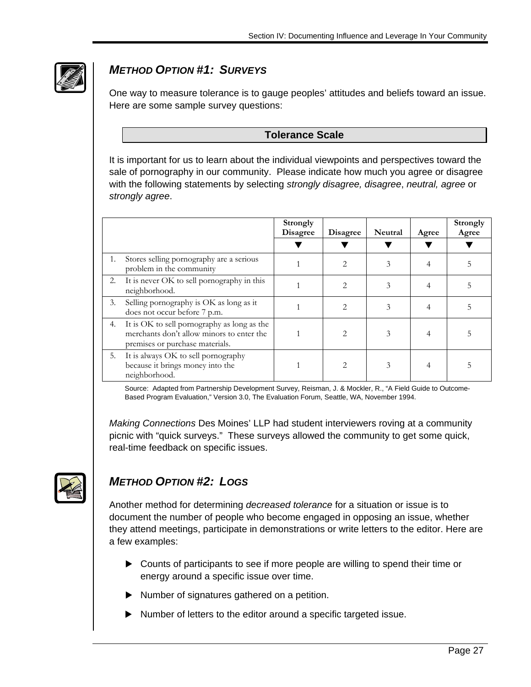

#### *METHOD OPTION #1: SURVEYS*

One way to measure tolerance is to gauge peoples' attitudes and beliefs toward an issue. Here are some sample survey questions:

#### **Tolerance Scale**

It is important for us to learn about the individual viewpoints and perspectives toward the sale of pornography in our community. Please indicate how much you agree or disagree with the following statements by selecting *strongly disagree, disagree*, *neutral, agree* or *strongly agree*.

|    |                                                                                                                             | <b>Strongly</b><br><b>Disagree</b> | Disagree       | Neutral | Agree | Strongly<br>Agree |
|----|-----------------------------------------------------------------------------------------------------------------------------|------------------------------------|----------------|---------|-------|-------------------|
|    |                                                                                                                             |                                    |                |         |       |                   |
| 1. | Stores selling pornography are a serious<br>problem in the community                                                        |                                    | $\overline{2}$ | 3       |       |                   |
| 2. | It is never OK to sell pornography in this<br>neighborhood.                                                                 |                                    | $\mathfrak{D}$ | 3       |       |                   |
| 3. | Selling pornography is OK as long as it<br>does not occur before 7 p.m.                                                     |                                    | $\mathfrak{D}$ | 3       |       |                   |
| 4. | It is OK to sell pornography as long as the<br>merchants don't allow minors to enter the<br>premises or purchase materials. |                                    | $\mathfrak{D}$ | 3       |       |                   |
| 5. | It is always OK to sell pornography<br>because it brings money into the<br>neighborhood.                                    |                                    | $\mathfrak{D}$ |         |       |                   |

Source: Adapted from Partnership Development Survey, Reisman, J. & Mockler, R., "A Field Guide to Outcome-Based Program Evaluation," Version 3.0, The Evaluation Forum, Seattle, WA, November 1994.

*Making Connections* Des Moines' LLP had student interviewers roving at a community picnic with "quick surveys." These surveys allowed the community to get some quick, real-time feedback on specific issues.



### *METHOD OPTION #2: LOGS*

Another method for determining *decreased tolerance* for a situation or issue is to document the number of people who become engaged in opposing an issue, whether they attend meetings, participate in demonstrations or write letters to the editor. Here are a few examples:

- $\triangleright$  Counts of participants to see if more people are willing to spend their time or energy around a specific issue over time.
- $\blacktriangleright$  Number of signatures gathered on a petition.
- $\blacktriangleright$  Number of letters to the editor around a specific targeted issue.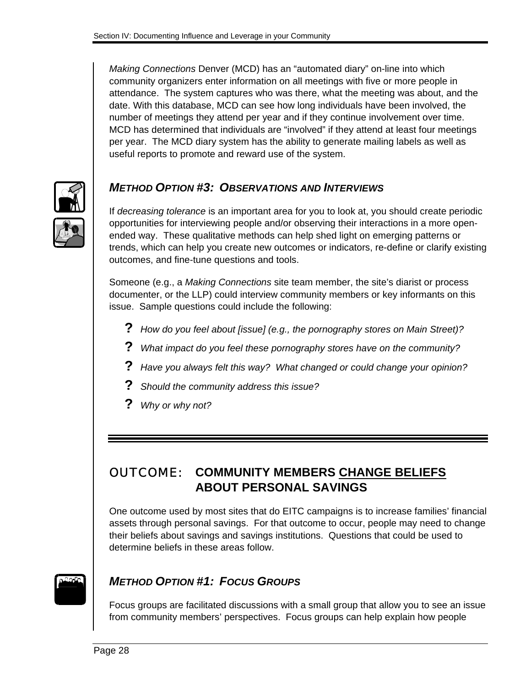*Making Connections* Denver (MCD) has an "automated diary" on-line into which community organizers enter information on all meetings with five or more people in attendance. The system captures who was there, what the meeting was about, and the date. With this database, MCD can see how long individuals have been involved, the number of meetings they attend per year and if they continue involvement over time. MCD has determined that individuals are "involved" if they attend at least four meetings per year. The MCD diary system has the ability to generate mailing labels as well as useful reports to promote and reward use of the system.



### *METHOD OPTION #3: OBSERVATIONS AND INTERVIEWS*

If *decreasing tolerance* is an important area for you to look at, you should create periodic opportunities for interviewing people and/or observing their interactions in a more openended way. These qualitative methods can help shed light on emerging patterns or trends, which can help you create new outcomes or indicators, re-define or clarify existing outcomes, and fine-tune questions and tools.

Someone (e.g., a *Making Connections* site team member, the site's diarist or process documenter, or the LLP) could interview community members or key informants on this issue. Sample questions could include the following:

- **?** *How do you feel about [issue] (e.g., the pornography stores on Main Street)?*
- **?** *What impact do you feel these pornography stores have on the community?*
- **?** *Have you always felt this way? What changed or could change your opinion?*
- **?** *Should the community address this issue?*
- **?** *Why or why not?*

### OUTCOME: **COMMUNITY MEMBERS CHANGE BELIEFS ABOUT PERSONAL SAVINGS**

One outcome used by most sites that do EITC campaigns is to increase families' financial assets through personal savings. For that outcome to occur, people may need to change their beliefs about savings and savings institutions. Questions that could be used to determine beliefs in these areas follow.

#### *METHOD OPTION #1: FOCUS GROUPS*

Focus groups are facilitated discussions with a small group that allow you to see an issue from community members' perspectives. Focus groups can help explain how people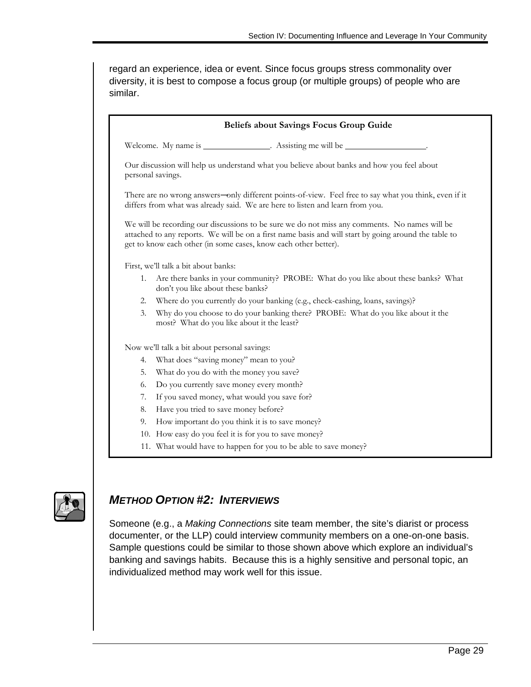regard an experience, idea or event. Since focus groups stress commonality over diversity, it is best to compose a focus group (or multiple groups) of people who are similar.

|    | Welcome. My name is ________________. Assisting me will be _________________.                                                                                                                                                                                             |
|----|---------------------------------------------------------------------------------------------------------------------------------------------------------------------------------------------------------------------------------------------------------------------------|
|    | Our discussion will help us understand what you believe about banks and how you feel about<br>personal savings.                                                                                                                                                           |
|    | There are no wrong answers—only different points-of-view. Feel free to say what you think, even if it<br>differs from what was already said. We are here to listen and learn from you.                                                                                    |
|    | We will be recording our discussions to be sure we do not miss any comments. No names will be<br>attached to any reports. We will be on a first name basis and will start by going around the table to<br>get to know each other (in some cases, know each other better). |
|    | First, we'll talk a bit about banks:                                                                                                                                                                                                                                      |
| 1. | Are there banks in your community? PROBE: What do you like about these banks? What<br>don't you like about these banks?                                                                                                                                                   |
| 2. | Where do you currently do your banking (e.g., check-cashing, loans, savings)?                                                                                                                                                                                             |
| 3. | Why do you choose to do your banking there? PROBE: What do you like about it the<br>most? What do you like about it the least?                                                                                                                                            |
|    | Now we'll talk a bit about personal savings:                                                                                                                                                                                                                              |
| 4. | What does "saving money" mean to you?                                                                                                                                                                                                                                     |
| 5. | What do you do with the money you save?                                                                                                                                                                                                                                   |
| 6. | Do you currently save money every month?                                                                                                                                                                                                                                  |
| 7. | If you saved money, what would you save for?                                                                                                                                                                                                                              |
| 8. | Have you tried to save money before?                                                                                                                                                                                                                                      |
| 9. | How important do you think it is to save money?                                                                                                                                                                                                                           |
|    | 10. How easy do you feel it is for you to save money?                                                                                                                                                                                                                     |
|    | 11. What would have to happen for you to be able to save money?                                                                                                                                                                                                           |
|    |                                                                                                                                                                                                                                                                           |

#### Someone (e.g., a *Making Connections* site team member, the site's diarist or process documenter, or the LLP) could interview community members on a one-on-one basis. Sample questions could be similar to those shown above which explore an individual's banking and savings habits. Because this is a highly sensitive and personal topic, an individualized method may work well for this issue.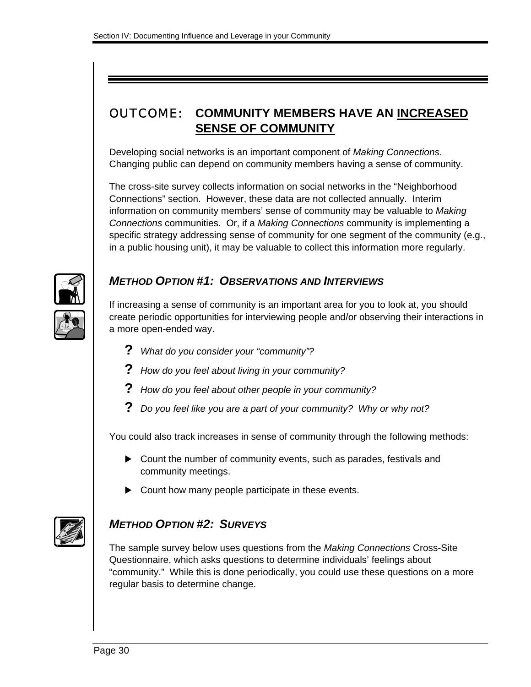### OUTCOME: **COMMUNITY MEMBERS HAVE AN INCREASED SENSE OF COMMUNITY**

Developing social networks is an important component of *Making Connections*. Changing public can depend on community members having a sense of community.

The cross-site survey collects information on social networks in the "Neighborhood Connections" section. However, these data are not collected annually. Interim information on community members' sense of community may be valuable to *Making Connections* communities. Or, if a *Making Connections* community is implementing a specific strategy addressing sense of community for one segment of the community (e.g., in a public housing unit), it may be valuable to collect this information more regularly.



### *METHOD OPTION #1: OBSERVATIONS AND INTERVIEWS*

If increasing a sense of community is an important area for you to look at, you should create periodic opportunities for interviewing people and/or observing their interactions in a more open-ended way.

- **?** *What do you consider your "community"?*
- **?** *How do you feel about living in your community?*
- **?** *How do you feel about other people in your community?*
- **?** *Do you feel like you are a part of your community? Why or why not?*

You could also track increases in sense of community through the following methods:

- $\triangleright$  Count the number of community events, such as parades, festivals and community meetings.
- $\triangleright$  Count how many people participate in these events.



### *METHOD OPTION #2: SURVEYS*

The sample survey below uses questions from the *Making Connections* Cross-Site Questionnaire, which asks questions to determine individuals' feelings about "community." While this is done periodically, you could use these questions on a more regular basis to determine change.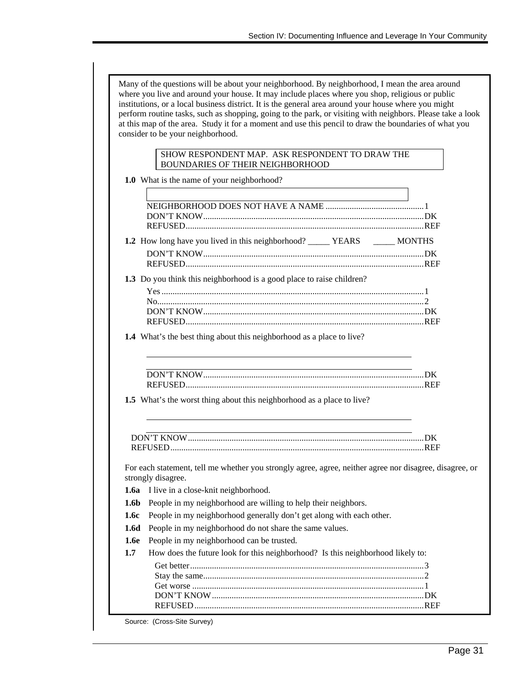Many of the questions will be about your neighborhood. By neighborhood, I mean the area around where you live and around your house. It may include places where you shop, religious or public institutions, or a local business district. It is the general area around your house where you might perform routine tasks, such as shopping, going to the park, or visiting with neighbors. Please take a look at this map of the area. Study it for a moment and use this pencil to draw the boundaries of what you consider to be your neighborhood.

#### SHOW RESPONDENT MAP. ASK RESPONDENT TO DRAW THE BOUNDARIES OF THEIR NEIGHBORHOOD

|                                             | 1.0 What is the name of your neighborhood?                                                                                    |  |
|---------------------------------------------|-------------------------------------------------------------------------------------------------------------------------------|--|
|                                             |                                                                                                                               |  |
|                                             |                                                                                                                               |  |
|                                             |                                                                                                                               |  |
|                                             | 1.2 How long have you lived in this neighborhood? ______ YEARS ______ MONTHS                                                  |  |
|                                             |                                                                                                                               |  |
|                                             |                                                                                                                               |  |
|                                             | 1.3 Do you think this neighborhood is a good place to raise children?                                                         |  |
|                                             |                                                                                                                               |  |
|                                             |                                                                                                                               |  |
|                                             |                                                                                                                               |  |
|                                             | 1.4 What's the best thing about this neighborhood as a place to live?                                                         |  |
|                                             |                                                                                                                               |  |
|                                             |                                                                                                                               |  |
|                                             |                                                                                                                               |  |
|                                             | 1.5 What's the worst thing about this neighborhood as a place to live?                                                        |  |
|                                             |                                                                                                                               |  |
|                                             | For each statement, tell me whether you strongly agree, agree, neither agree nor disagree, disagree, or<br>strongly disagree. |  |
|                                             | I live in a close-knit neighborhood.                                                                                          |  |
|                                             | People in my neighborhood are willing to help their neighbors.                                                                |  |
|                                             |                                                                                                                               |  |
|                                             | People in my neighborhood generally don't get along with each other.                                                          |  |
|                                             | People in my neighborhood do not share the same values.                                                                       |  |
|                                             | People in my neighborhood can be trusted.                                                                                     |  |
| 1.6a<br>1.6b<br>1.6c<br>1.6d<br>1.6e<br>1.7 | How does the future look for this neighborhood? Is this neighborhood likely to:                                               |  |
|                                             |                                                                                                                               |  |
|                                             |                                                                                                                               |  |
|                                             |                                                                                                                               |  |

Source: (Cross-Site Survey)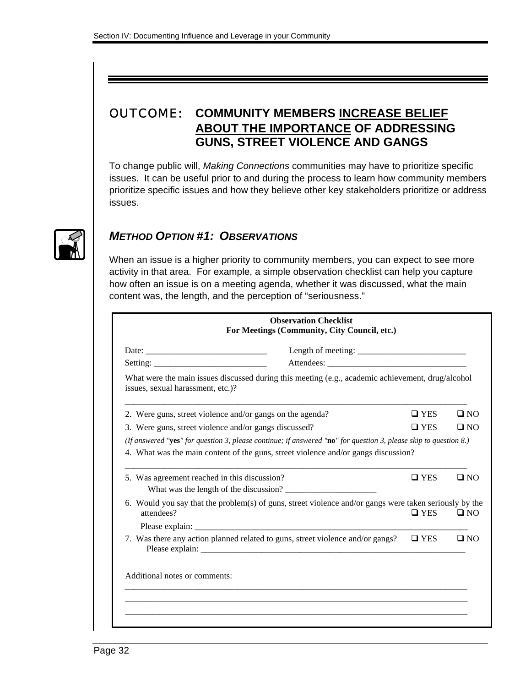### OUTCOME: **COMMUNITY MEMBERS INCREASE BELIEF ABOUT THE IMPORTANCE OF ADDRESSING GUNS, STREET VIOLENCE AND GANGS**

To change public will, *Making Connections* communities may have to prioritize specific issues. It can be useful prior to and during the process to learn how community members prioritize specific issues and how they believe other key stakeholders prioritize or address issues.



### *METHOD OPTION #1: OBSERVATIONS*

When an issue is a higher priority to community members, you can expect to see more activity in that area. For example, a simple observation checklist can help you capture how often an issue is on a meeting agenda, whether it was discussed, what the main content was, the length, and the perception of "seriousness."

| <b>Observation Checklist</b><br>For Meetings (Community, City Council, etc.)                                                           |               |              |
|----------------------------------------------------------------------------------------------------------------------------------------|---------------|--------------|
| Length of meeting: $\frac{1}{2}$                                                                                                       |               |              |
|                                                                                                                                        |               |              |
| What were the main issues discussed during this meeting (e.g., academic achievement, drug/alcohol<br>issues, sexual harassment, etc.)? |               |              |
| 2. Were guns, street violence and/or gangs on the agenda?                                                                              | $\square$ YES | $\square$ NO |
| 3. Were guns, street violence and/or gangs discussed?                                                                                  | $\square$ YES | $\Box$ NO    |
| (If answered "yes" for question 3, please continue; if answered "no" for question 3, please skip to question 8.)                       |               |              |
| 4. What was the main content of the guns, street violence and/or gangs discussion?                                                     |               |              |
| 5. Was agreement reached in this discussion?                                                                                           | $\square$ YES | $\square$ NO |
| What was the length of the discussion?                                                                                                 |               |              |
| 6. Would you say that the problem(s) of guns, street violence and/or gangs were taken seriously by the<br>attendees?                   | $\square$ YES | $\square$ NO |
|                                                                                                                                        |               |              |
| 7. Was there any action planned related to guns, street violence and/or gangs?                                                         | $\square$ YES | $\Box$ NO    |
| Additional notes or comments:                                                                                                          |               |              |
|                                                                                                                                        |               |              |
|                                                                                                                                        |               |              |
|                                                                                                                                        |               |              |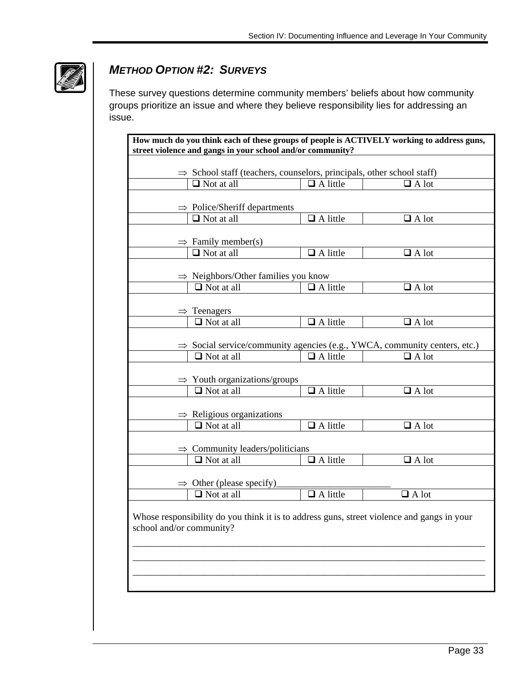

### *METHOD OPTION #2: SURVEYS*

These survey questions determine community members' beliefs about how community groups prioritize an issue and where they believe responsibility lies for addressing an issue.

|                                                 | $\Rightarrow$ School staff (teachers, counselors, principals, other school staff)                        |              |
|-------------------------------------------------|----------------------------------------------------------------------------------------------------------|--------------|
| $\Box$ Not at all                               | $\Box$ A little                                                                                          | $\Box$ A lot |
|                                                 |                                                                                                          |              |
| $\Rightarrow$ Police/Sheriff departments        |                                                                                                          |              |
| $\Box$ Not at all                               | $\Box$ A little                                                                                          | $\Box$ A lot |
|                                                 |                                                                                                          |              |
| Family member(s)                                |                                                                                                          |              |
| $\Box$ Not at all                               | $\Box$ A little                                                                                          | $\Box$ A lot |
| $\Rightarrow$ Neighbors/Other families you know |                                                                                                          |              |
| $\Box$ Not at all                               | $\Box$ A little                                                                                          | $\Box$ A lot |
|                                                 |                                                                                                          |              |
| Teenagers                                       |                                                                                                          |              |
| $\Box$ Not at all                               | $\Box$ A little                                                                                          | $\Box$ A lot |
| $\Box$ Not at all                               | $\Rightarrow$ Social service/community agencies (e.g., YWCA, community centers, etc.)<br>$\Box$ A little | $\Box$ A lot |
| Youth organizations/groups                      |                                                                                                          |              |
| $\Box$ Not at all                               | $\Box$ A little                                                                                          | $\Box$ A lot |
|                                                 |                                                                                                          |              |
| Religious organizations                         |                                                                                                          |              |
| $\Box$ Not at all                               | $\Box$ A little                                                                                          | $\Box$ A lot |
|                                                 |                                                                                                          |              |
| $\Rightarrow$ Community leaders/politicians     |                                                                                                          |              |
| $\Box$ Not at all                               | $\Box$ A little                                                                                          | $\Box$ A lot |
|                                                 |                                                                                                          |              |
| $\Rightarrow$ Other (please specify)            |                                                                                                          |              |
| $\Box$ Not at all                               | $\Box$ A little                                                                                          | $\Box$ A lot |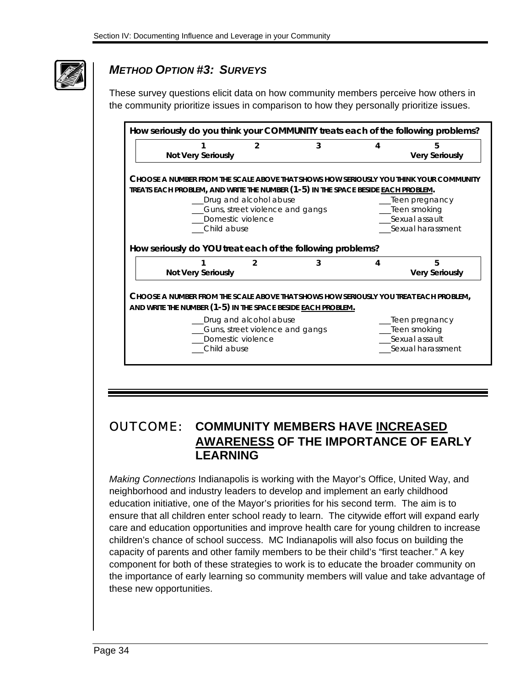

### *METHOD OPTION #3: SURVEYS*

These survey questions elicit data on how community members perceive how others in the community prioritize issues in comparison to how they personally prioritize issues.

|                                                                                                                                                                                                                     | $\mathfrak{p}$                  | 3                               | Δ | 5                                   |
|---------------------------------------------------------------------------------------------------------------------------------------------------------------------------------------------------------------------|---------------------------------|---------------------------------|---|-------------------------------------|
| <b>Not Very Seriously</b>                                                                                                                                                                                           |                                 |                                 |   | <b>Very Seriously</b>               |
| CHOOSE A NUMBER FROM THE SCALE ABOVE THAT SHOWS HOW SERIOUSLY YOU THINK YOUR COMMUNITY                                                                                                                              |                                 |                                 |   |                                     |
| TREATS EACH PROBLEM, AND WRITE THE NUMBER (1-5) IN THE SPACE BESIDE EACH PROBLEM.                                                                                                                                   |                                 |                                 |   |                                     |
|                                                                                                                                                                                                                     | Drug and alcohol abuse          |                                 |   | __Teen pregnancy                    |
|                                                                                                                                                                                                                     |                                 | Guns, street violence and gangs |   | __Teen smoking                      |
|                                                                                                                                                                                                                     | Domestic violence               |                                 |   | __Sexual assault                    |
| Sexual harassment<br>Child abuse                                                                                                                                                                                    |                                 |                                 |   |                                     |
|                                                                                                                                                                                                                     |                                 |                                 |   |                                     |
| <b>Not Very Seriously</b>                                                                                                                                                                                           | $\mathfrak{p}$                  | 3                               | 4 | 5<br><b>Very Seriously</b>          |
|                                                                                                                                                                                                                     |                                 |                                 |   |                                     |
| How seriously do YOU treat each of the following problems?<br>CHOOSE A NUMBER FROM THE SCALE ABOVE THAT SHOWS HOW SERIOUSLY YOU TREAT EACH PROBLEM,<br>AND WRITE THE NUMBER (1-5) IN THE SPACE BESIDE EACH PROBLEM. | Drug and alcohol abuse          |                                 |   | __Teen pregnancy                    |
|                                                                                                                                                                                                                     | Guns, street violence and gangs |                                 |   | Teen smoking                        |
| Child abuse                                                                                                                                                                                                         | Domestic violence               |                                 |   | Sexual assault<br>Sexual harassment |

### OUTCOME: **COMMUNITY MEMBERS HAVE INCREASED AWARENESS OF THE IMPORTANCE OF EARLY LEARNING**

*Making Connections* Indianapolis is working with the Mayor's Office, United Way, and neighborhood and industry leaders to develop and implement an early childhood education initiative, one of the Mayor's priorities for his second term. The aim is to ensure that all children enter school ready to learn. The citywide effort will expand early care and education opportunities and improve health care for young children to increase children's chance of school success. MC Indianapolis will also focus on building the capacity of parents and other family members to be their child's "first teacher." A key component for both of these strategies to work is to educate the broader community on the importance of early learning so community members will value and take advantage of these new opportunities.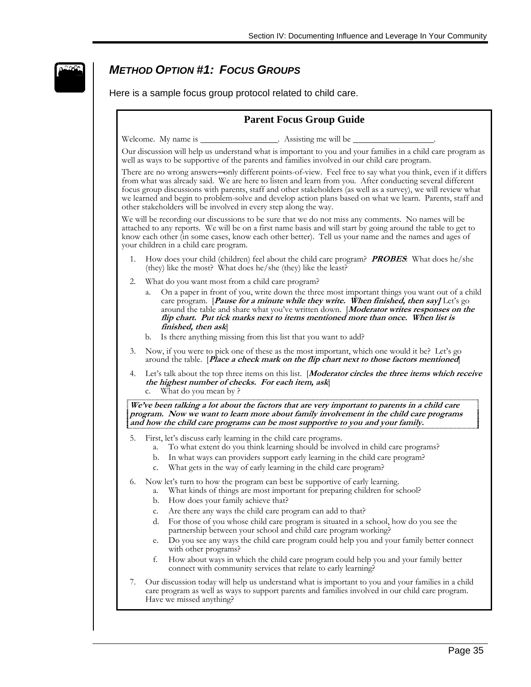#### *METHOD OPTION #1: FOCUS GROUPS*

Have we missed anything?

Here is a sample focus group protocol related to child care.

#### **Parent Focus Group Guide**  Welcome. My name is \_\_\_\_\_\_\_\_\_\_\_\_\_\_\_\_\_\_\_\_\_. Assisting me will be Our discussion will help us understand what is important to you and your families in a child care program as well as ways to be supportive of the parents and families involved in our child care program. There are no wrong answers—only different points-of-view. Feel free to say what you think, even if it differs from what was already said. We are here to listen and learn from you. After conducting several different focus group discussions with parents, staff and other stakeholders (as well as a survey), we will review what we learned and begin to problem-solve and develop action plans based on what we learn. Parents, staff and other stakeholders will be involved in every step along the way. We will be recording our discussions to be sure that we do not miss any comments. No names will be attached to any reports. We will be on a first name basis and will start by going around the table to get to know each other (in some cases, know each other better). Tell us your name and the names and ages of your children in a child care program. 1. How does your child (children) feel about the child care program? **PROBES**: What does he/she (they) like the most? What does he/she (they) like the least? 2. What do you want most from a child care program? a. On a paper in front of you, write down the three most important things you want out of a child care program. [**Pause for a minute while they write. When finished, then say]** Let's go around the table and share what you've written down. [**Moderator writes responses on the flip chart. Put tick marks next to items mentioned more than once. When list is finished, then ask**] b. Is there anything missing from this list that you want to add? 3. Now, if you were to pick one of these as the most important, which one would it be? Let's go around the table. [**Place a check mark on the flip chart next to those factors mentioned**] 4. Let's talk about the top three items on this list. [Moderator circles the three items which receive **the highest number of checks. For each item, ask**] c. What do you mean by ? We've been talking a lot about the factors that are very important to parents in a child care **program. Now we want to learn more about family involvement in the child care programs and how the child care programs can be most supportive to you and your family.**  First, let's discuss early learning in the child care programs. a. To what extent do you think learning should be involved in child care programs? b. In what ways can providers support early learning in the child care program? c. What gets in the way of early learning in the child care program? 6. Now let's turn to how the program can best be supportive of early learning. a. What kinds of things are most important for preparing children for school? b. How does your family achieve that? c. Are there any ways the child care program can add to that? d. For those of you whose child care program is situated in a school, how do you see the partnership between your school and child care program working? e. Do you see any ways the child care program could help you and your family better connect with other programs? f. How about ways in which the child care program could help you and your family better connect with community services that relate to early learning? 7. Our discussion today will help us understand what is important to you and your families in a child care program as well as ways to support parents and families involved in our child care program.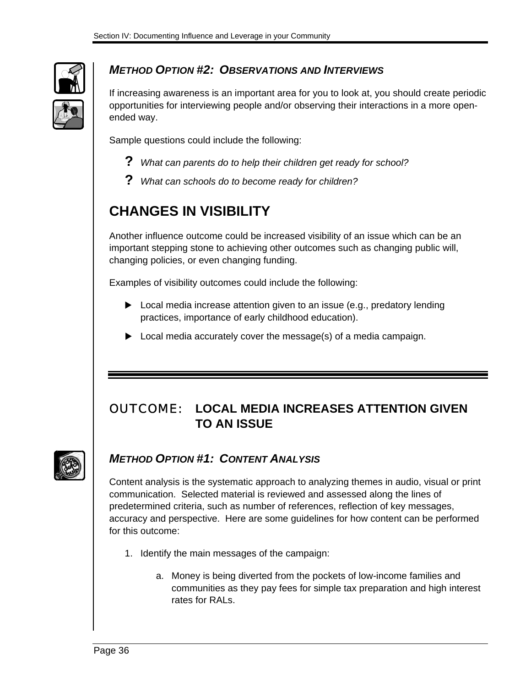

#### *METHOD OPTION #2: OBSERVATIONS AND INTERVIEWS*

If increasing awareness is an important area for you to look at, you should create periodic opportunities for interviewing people and/or observing their interactions in a more openended way.

Sample questions could include the following:

- **?** *What can parents do to help their children get ready for school?*
- **?** *What can schools do to become ready for children?*

# **CHANGES IN VISIBILITY**

Another influence outcome could be increased visibility of an issue which can be an important stepping stone to achieving other outcomes such as changing public will, changing policies, or even changing funding.

Examples of visibility outcomes could include the following:

- $\triangleright$  Local media increase attention given to an issue (e.g., predatory lending practices, importance of early childhood education).
- $\triangleright$  Local media accurately cover the message(s) of a media campaign.

### OUTCOME: **LOCAL MEDIA INCREASES ATTENTION GIVEN TO AN ISSUE**



#### *METHOD OPTION #1: CONTENT ANALYSIS*

Content analysis is the systematic approach to analyzing themes in audio, visual or print communication. Selected material is reviewed and assessed along the lines of predetermined criteria, such as number of references, reflection of key messages, accuracy and perspective. Here are some guidelines for how content can be performed for this outcome:

- 1. Identify the main messages of the campaign:
	- a. Money is being diverted from the pockets of low-income families and communities as they pay fees for simple tax preparation and high interest rates for RALs.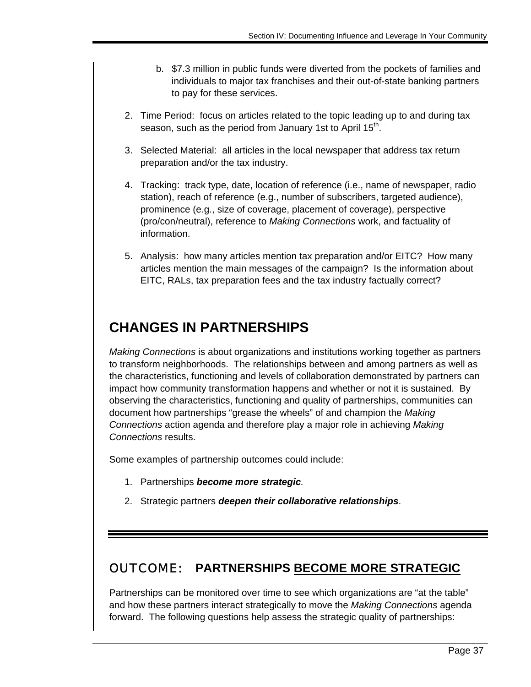- b. \$7.3 million in public funds were diverted from the pockets of families and individuals to major tax franchises and their out-of-state banking partners to pay for these services.
- 2. Time Period: focus on articles related to the topic leading up to and during tax season, such as the period from January 1st to April 15<sup>th</sup>.
- 3. Selected Material: all articles in the local newspaper that address tax return preparation and/or the tax industry.
- 4. Tracking: track type, date, location of reference (i.e., name of newspaper, radio station), reach of reference (e.g., number of subscribers, targeted audience), prominence (e.g., size of coverage, placement of coverage), perspective (pro/con/neutral), reference to *Making Connections* work, and factuality of information.
- 5. Analysis: how many articles mention tax preparation and/or EITC? How many articles mention the main messages of the campaign? Is the information about EITC, RALs, tax preparation fees and the tax industry factually correct?

# **CHANGES IN PARTNERSHIPS**

*Making Connections* is about organizations and institutions working together as partners to transform neighborhoods. The relationships between and among partners as well as the characteristics, functioning and levels of collaboration demonstrated by partners can impact how community transformation happens and whether or not it is sustained. By observing the characteristics, functioning and quality of partnerships, communities can document how partnerships "grease the wheels" of and champion the *Making Connections* action agenda and therefore play a major role in achieving *Making Connections* results.

Some examples of partnership outcomes could include:

- 1. Partnerships *become more strategic.*
- 2. Strategic partners *deepen their collaborative relationships*.

## OUTCOME: **PARTNERSHIPS BECOME MORE STRATEGIC**

Partnerships can be monitored over time to see which organizations are "at the table" and how these partners interact strategically to move the *Making Connections* agenda forward. The following questions help assess the strategic quality of partnerships: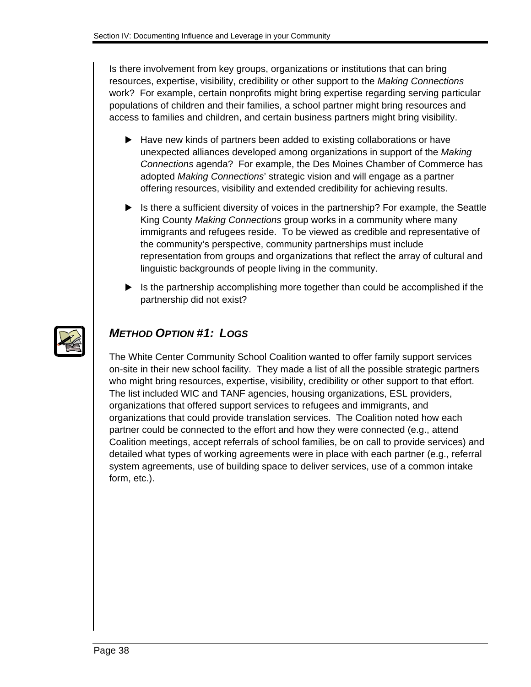Is there involvement from key groups, organizations or institutions that can bring resources, expertise, visibility, credibility or other support to the *Making Connections* work? For example, certain nonprofits might bring expertise regarding serving particular populations of children and their families, a school partner might bring resources and access to families and children, and certain business partners might bring visibility.

- $\blacktriangleright$  Have new kinds of partners been added to existing collaborations or have unexpected alliances developed among organizations in support of the *Making Connections* agenda? For example, the Des Moines Chamber of Commerce has adopted *Making Connections*' strategic vision and will engage as a partner offering resources, visibility and extended credibility for achieving results.
- $\blacktriangleright$  Is there a sufficient diversity of voices in the partnership? For example, the Seattle King County *Making Connections* group works in a community where many immigrants and refugees reside. To be viewed as credible and representative of the community's perspective, community partnerships must include representation from groups and organizations that reflect the array of cultural and linguistic backgrounds of people living in the community.
- $\blacktriangleright$  Is the partnership accomplishing more together than could be accomplished if the partnership did not exist?



### *METHOD OPTION #1: LOGS*

The White Center Community School Coalition wanted to offer family support services on-site in their new school facility. They made a list of all the possible strategic partners who might bring resources, expertise, visibility, credibility or other support to that effort. The list included WIC and TANF agencies, housing organizations, ESL providers, organizations that offered support services to refugees and immigrants, and organizations that could provide translation services. The Coalition noted how each partner could be connected to the effort and how they were connected (e.g., attend Coalition meetings, accept referrals of school families, be on call to provide services) and detailed what types of working agreements were in place with each partner (e.g., referral system agreements, use of building space to deliver services, use of a common intake form, etc.).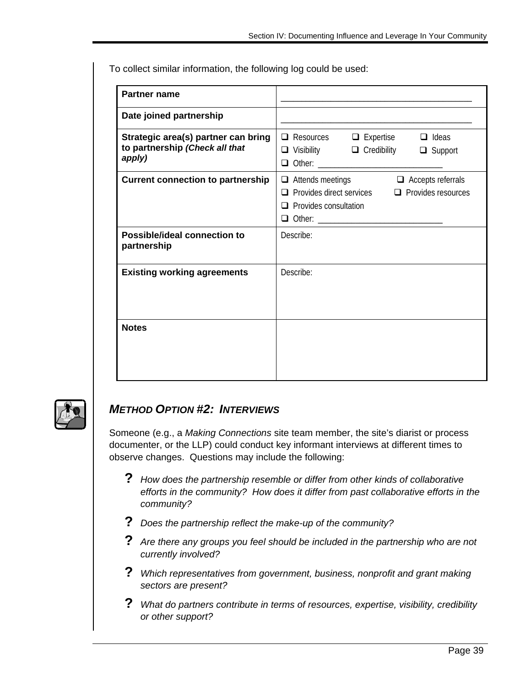To collect similar information, the following log could be used:

| <b>Partner name</b>                                                             |                                                                                                                                               |
|---------------------------------------------------------------------------------|-----------------------------------------------------------------------------------------------------------------------------------------------|
| Date joined partnership                                                         |                                                                                                                                               |
| Strategic area(s) partner can bring<br>to partnership (Check all that<br>apply) | $\Box$ Resources $\Box$ Expertise $\Box$ Ideas<br>□ Visibility □ Credibility □ Support                                                        |
| <b>Current connection to partnership</b>                                        | $\Box$ Attends meetings $\Box$ Accepts referrals<br>$\Box$ Provides direct services $\Box$ Provides resources<br>$\Box$ Provides consultation |
| Possible/ideal connection to<br>partnership                                     | Describe:                                                                                                                                     |
| <b>Existing working agreements</b>                                              | Describe:                                                                                                                                     |
| <b>Notes</b>                                                                    |                                                                                                                                               |



#### *METHOD OPTION #2: INTERVIEWS*

Someone (e.g., a *Making Connections* site team member, the site's diarist or process documenter, or the LLP) could conduct key informant interviews at different times to observe changes. Questions may include the following:

- **?** *How does the partnership resemble or differ from other kinds of collaborative efforts in the community? How does it differ from past collaborative efforts in the community?*
- **?** *Does the partnership reflect the make-up of the community?*
- **?** *Are there any groups you feel should be included in the partnership who are not currently involved?*
- **?** *Which representatives from government, business, nonprofit and grant making sectors are present?*
- **?** *What do partners contribute in terms of resources, expertise, visibility, credibility or other support?*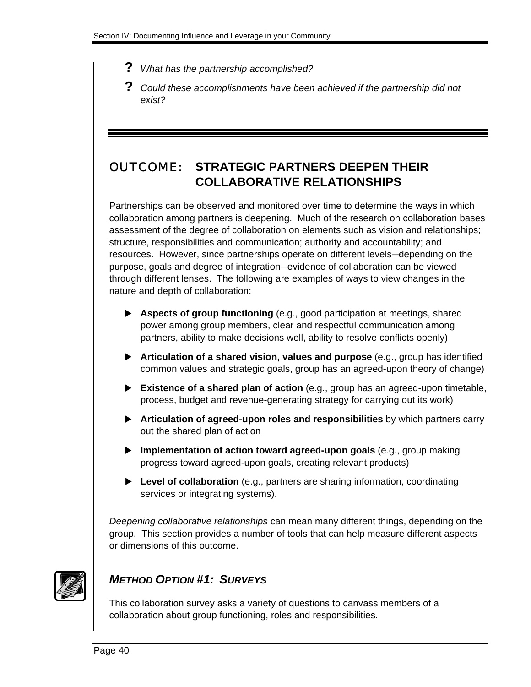- **?** *What has the partnership accomplished?*
- **?** *Could these accomplishments have been achieved if the partnership did not exist?*

### OUTCOME: **STRATEGIC PARTNERS DEEPEN THEIR COLLABORATIVE RELATIONSHIPS**

Partnerships can be observed and monitored over time to determine the ways in which collaboration among partners is deepening. Much of the research on collaboration bases assessment of the degree of collaboration on elements such as vision and relationships; structure, responsibilities and communication; authority and accountability; and resources. However, since partnerships operate on different levels—depending on the purpose, goals and degree of integration—evidence of collaboration can be viewed through different lenses. The following are examples of ways to view changes in the nature and depth of collaboration:

- ▶ Aspects of group functioning (e.g., good participation at meetings, shared power among group members, clear and respectful communication among partners, ability to make decisions well, ability to resolve conflicts openly)
- ▶ Articulation of a shared vision, values and purpose (e.g., group has identified common values and strategic goals, group has an agreed-upon theory of change)
- ▶ Existence of a shared plan of action (e.g., group has an agreed-upon timetable, process, budget and revenue-generating strategy for carrying out its work)
- **EXEDENT Articulation of agreed-upon roles and responsibilities** by which partners carry out the shared plan of action
- ▶ Implementation of action toward agreed-upon goals (e.g., group making progress toward agreed-upon goals, creating relevant products)
- ▶ Level of collaboration (e.g., partners are sharing information, coordinating services or integrating systems).

*Deepening collaborative relationships* can mean many different things, depending on the group. This section provides a number of tools that can help measure different aspects or dimensions of this outcome.



#### *METHOD OPTION #1: SURVEYS*

This collaboration survey asks a variety of questions to canvass members of a collaboration about group functioning, roles and responsibilities.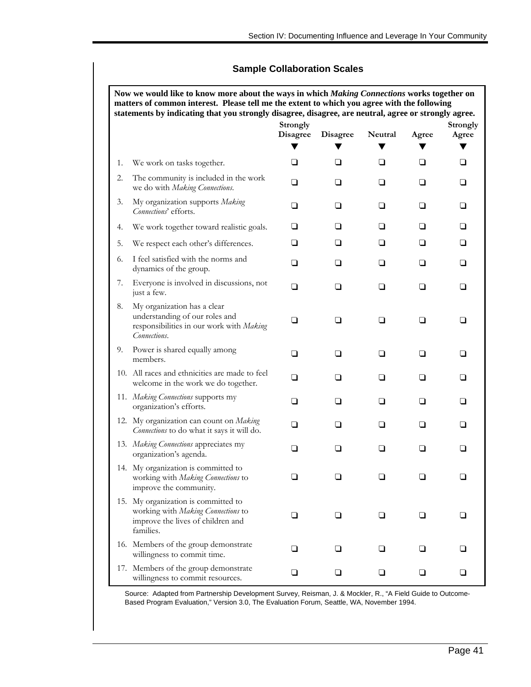| <b>Sample Collaboration Scales</b> |  |  |  |  |
|------------------------------------|--|--|--|--|
|------------------------------------|--|--|--|--|

|    | Now we would like to know more about the ways in which Making Connections works together on<br>matters of common interest. Please tell me the extent to which you agree with the following<br>statements by indicating that you strongly disagree, disagree, are neutral, agree or strongly agree. |                             |                 |         |       |                          |
|----|----------------------------------------------------------------------------------------------------------------------------------------------------------------------------------------------------------------------------------------------------------------------------------------------------|-----------------------------|-----------------|---------|-------|--------------------------|
|    |                                                                                                                                                                                                                                                                                                    | Strongly<br><b>Disagree</b> | <b>Disagree</b> | Neutral | Agree | <b>Strongly</b><br>Agree |
| 1. | We work on tasks together.                                                                                                                                                                                                                                                                         | ப                           | ❏               | ப       | ப     | ⊔                        |
| 2. | The community is included in the work<br>we do with Making Connections.                                                                                                                                                                                                                            | ◻                           | ❏               | ப       | ப     | ப                        |
| 3. | My organization supports Making<br>Connections' efforts.                                                                                                                                                                                                                                           | ❏                           | ❏               | ◻       | ❏     | ◻                        |
| 4. | We work together toward realistic goals.                                                                                                                                                                                                                                                           | ⊔                           | ⊔               | ப       | ப     | ப                        |
| 5. | We respect each other's differences.                                                                                                                                                                                                                                                               | ◻                           | □               | ⊓       | ப     | ப                        |
| 6. | I feel satisfied with the norms and<br>dynamics of the group.                                                                                                                                                                                                                                      | ◻                           | ❏               | ◻       | ◻     | ◻                        |
| 7. | Everyone is involved in discussions, not<br>just a few.                                                                                                                                                                                                                                            | ❏                           | ❏               | ◻       | ப     | ◻                        |
| 8. | My organization has a clear<br>understanding of our roles and<br>responsibilities in our work with Making<br>Connections.                                                                                                                                                                          | ◻                           | ❏               | ◻       | ◻     | ◻                        |
| 9. | Power is shared equally among<br>members.                                                                                                                                                                                                                                                          | ப                           | ❏               | l 1     | ப     |                          |
|    | 10. All races and ethnicities are made to feel<br>welcome in the work we do together.                                                                                                                                                                                                              | ◘                           | ❏               | ◻       | ❏     | ப                        |
|    | 11. Making Connections supports my<br>organization's efforts.                                                                                                                                                                                                                                      | ❏                           | ❏               | ப       | ப     | ப                        |
|    | 12. My organization can count on Making<br>Connections to do what it says it will do.                                                                                                                                                                                                              | ◻                           | ◻               | ◻       | ◻     | ◻                        |
|    | 13. Making Connections appreciates my<br>organization's agenda.                                                                                                                                                                                                                                    | ❏                           | ❏               | ப       | ப     | ப                        |
|    | 14. My organization is committed to<br>working with Making Connections to<br>improve the community.                                                                                                                                                                                                | ⊔                           | ப               |         | ப     | ப                        |
|    | 15. My organization is committed to<br>working with Making Connections to<br>improve the lives of children and<br>families.                                                                                                                                                                        | ⊔                           | ⊔               | H       | - 1   |                          |
|    | 16. Members of the group demonstrate<br>willingness to commit time.                                                                                                                                                                                                                                | ப                           | ப               |         | l 1   |                          |
|    | 17. Members of the group demonstrate<br>willingness to commit resources.                                                                                                                                                                                                                           | ⊔                           | u               | ப       | ⊔     |                          |

Source: Adapted from Partnership Development Survey, Reisman, J. & Mockler, R., "A Field Guide to Outcome-Based Program Evaluation," Version 3.0, The Evaluation Forum, Seattle, WA, November 1994.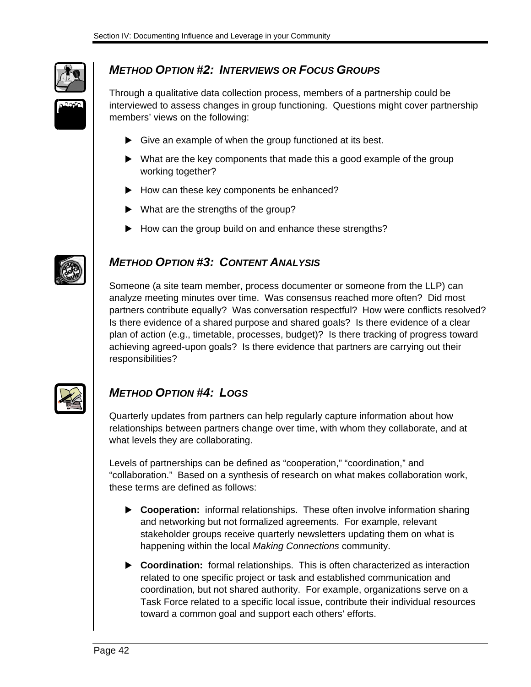

#### *METHOD OPTION #2: INTERVIEWS OR FOCUS GROUPS*

Through a qualitative data collection process, members of a partnership could be interviewed to assess changes in group functioning. Questions might cover partnership members' views on the following:

- $\blacktriangleright$  Give an example of when the group functioned at its best.
- $\blacktriangleright$  What are the key components that made this a good example of the group working together?
- $\blacktriangleright$  How can these key components be enhanced?
- $\blacktriangleright$  What are the strengths of the group?
- $\blacktriangleright$  How can the group build on and enhance these strengths?



#### *METHOD OPTION #3: CONTENT ANALYSIS*

Someone (a site team member, process documenter or someone from the LLP) can analyze meeting minutes over time. Was consensus reached more often? Did most partners contribute equally? Was conversation respectful? How were conflicts resolved? Is there evidence of a shared purpose and shared goals? Is there evidence of a clear plan of action (e.g., timetable, processes, budget)? Is there tracking of progress toward achieving agreed-upon goals? Is there evidence that partners are carrying out their responsibilities?



### *METHOD OPTION #4: LOGS*

Quarterly updates from partners can help regularly capture information about how relationships between partners change over time, with whom they collaborate, and at what levels they are collaborating.

Levels of partnerships can be defined as "cooperation," "coordination," and "collaboration." Based on a synthesis of research on what makes collaboration work, these terms are defined as follows:

- ▶ Cooperation: informal relationships. These often involve information sharing and networking but not formalized agreements. For example, relevant stakeholder groups receive quarterly newsletters updating them on what is happening within the local *Making Connections* community.
- ▶ Coordination: formal relationships. This is often characterized as interaction related to one specific project or task and established communication and coordination, but not shared authority. For example, organizations serve on a Task Force related to a specific local issue, contribute their individual resources toward a common goal and support each others' efforts.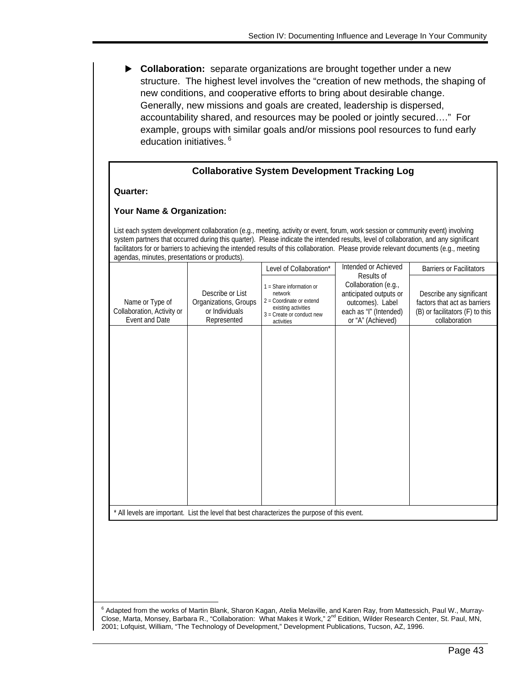▶ Collaboration: separate organizations are brought together under a new structure. The highest level involves the "creation of new methods, the shaping of new conditions, and cooperative efforts to bring about desirable change. Generally, new missions and goals are created, leadership is dispersed, accountability shared, and resources may be pooled or jointly secured…." For example, groups with similar goals and/or missions pool resources to fund early education initiatives.<sup>6</sup>

#### **Collaborative System Development Tracking Log**

#### **Quarter:**

#### **Your Name & Organization:**

List each system development collaboration (e.g., meeting, activity or event, forum, work session or community event) involving system partners that occurred during this quarter). Please indicate the intended results, level of collaboration, and any significant facilitators for or barriers to achieving the intended results of this collaboration. Please provide relevant documents (e.g., meeting agendas, minutes, presentations or products).

|                                                                 |                                                                            | Level of Collaboration*                                                                                                                 | Intended or Achieved                                                                                                            | <b>Barriers or Facilitators</b>                                                                              |
|-----------------------------------------------------------------|----------------------------------------------------------------------------|-----------------------------------------------------------------------------------------------------------------------------------------|---------------------------------------------------------------------------------------------------------------------------------|--------------------------------------------------------------------------------------------------------------|
| Name or Type of<br>Collaboration, Activity or<br>Event and Date | Describe or List<br>Organizations, Groups<br>or Individuals<br>Represented | $1 =$ Share information or<br>network<br>$2 =$ Coordinate or extend<br>existing activities<br>$3$ = Create or conduct new<br>activities | Results of<br>Collaboration (e.g.,<br>anticipated outputs or<br>outcomes). Label<br>each as "I" (Intended)<br>or "A" (Achieved) | Describe any significant<br>factors that act as barriers<br>(B) or facilitators (F) to this<br>collaboration |
|                                                                 |                                                                            |                                                                                                                                         |                                                                                                                                 |                                                                                                              |
|                                                                 |                                                                            |                                                                                                                                         |                                                                                                                                 |                                                                                                              |
|                                                                 |                                                                            |                                                                                                                                         |                                                                                                                                 |                                                                                                              |
|                                                                 |                                                                            |                                                                                                                                         |                                                                                                                                 |                                                                                                              |
|                                                                 |                                                                            |                                                                                                                                         |                                                                                                                                 |                                                                                                              |
|                                                                 |                                                                            |                                                                                                                                         |                                                                                                                                 |                                                                                                              |
|                                                                 |                                                                            |                                                                                                                                         |                                                                                                                                 |                                                                                                              |
|                                                                 |                                                                            |                                                                                                                                         |                                                                                                                                 |                                                                                                              |
|                                                                 |                                                                            |                                                                                                                                         |                                                                                                                                 |                                                                                                              |
|                                                                 |                                                                            | * All levels are important. List the level that best characterizes the purpose of this event.                                           |                                                                                                                                 |                                                                                                              |

6 Adapted from the works of Martin Blank, Sharon Kagan, Atelia Melaville, and Karen Ray, from Mattessich, Paul W., Murray-Close, Marta, Monsey, Barbara R., "Collaboration: What Makes it Work," 2<sup>nd</sup> Edition, Wilder Research Center, St. Paul, MN, 2001; Lofquist, William, "The Technology of Development," Development Publications, Tucson, AZ, 1996.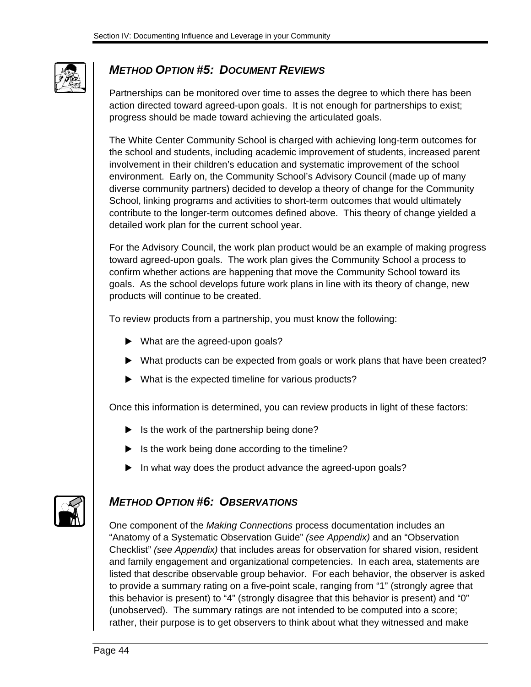

### *METHOD OPTION #5: DOCUMENT REVIEWS*

Partnerships can be monitored over time to asses the degree to which there has been action directed toward agreed-upon goals. It is not enough for partnerships to exist; progress should be made toward achieving the articulated goals.

The White Center Community School is charged with achieving long-term outcomes for the school and students, including academic improvement of students, increased parent involvement in their children's education and systematic improvement of the school environment. Early on, the Community School's Advisory Council (made up of many diverse community partners) decided to develop a theory of change for the Community School, linking programs and activities to short-term outcomes that would ultimately contribute to the longer-term outcomes defined above. This theory of change yielded a detailed work plan for the current school year.

For the Advisory Council, the work plan product would be an example of making progress toward agreed-upon goals. The work plan gives the Community School a process to confirm whether actions are happening that move the Community School toward its goals. As the school develops future work plans in line with its theory of change, new products will continue to be created.

To review products from a partnership, you must know the following:

- $\blacktriangleright$  What are the agreed-upon goals?
- $\blacktriangleright$  What products can be expected from goals or work plans that have been created?
- $\blacktriangleright$  What is the expected timeline for various products?

Once this information is determined, you can review products in light of these factors:

- $\blacktriangleright$  Is the work of the partnership being done?
- $\blacktriangleright$  Is the work being done according to the timeline?
- $\blacktriangleright$  In what way does the product advance the agreed-upon goals?



### *METHOD OPTION #6: OBSERVATIONS*

One component of the *Making Connections* process documentation includes an "Anatomy of a Systematic Observation Guide" *(see Appendix)* and an "Observation Checklist" *(see Appendix)* that includes areas for observation for shared vision, resident and family engagement and organizational competencies. In each area, statements are listed that describe observable group behavior. For each behavior, the observer is asked to provide a summary rating on a five-point scale, ranging from "1" (strongly agree that this behavior is present) to "4" (strongly disagree that this behavior is present) and "0" (unobserved). The summary ratings are not intended to be computed into a score; rather, their purpose is to get observers to think about what they witnessed and make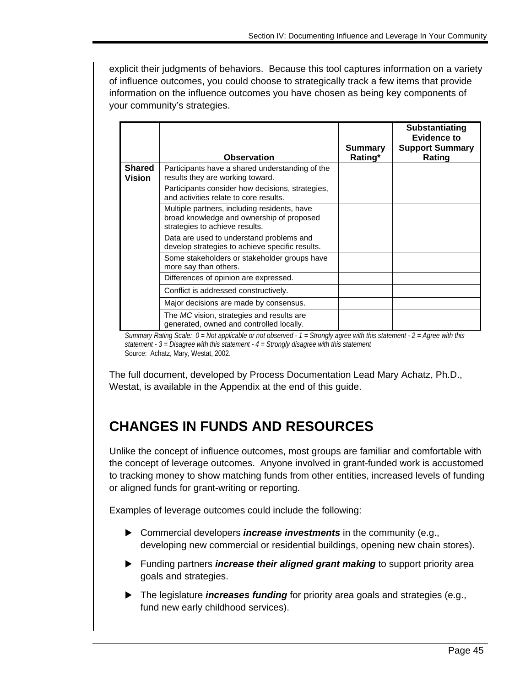explicit their judgments of behaviors. Because this tool captures information on a variety of influence outcomes, you could choose to strategically track a few items that provide information on the influence outcomes you have chosen as being key components of your community's strategies.

|                                | <b>Observation</b>                                                                                                          | <b>Summary</b><br>Rating* | Substantiating<br><b>Evidence to</b><br><b>Support Summary</b><br>Rating |
|--------------------------------|-----------------------------------------------------------------------------------------------------------------------------|---------------------------|--------------------------------------------------------------------------|
|                                |                                                                                                                             |                           |                                                                          |
| <b>Shared</b><br><b>Vision</b> | Participants have a shared understanding of the<br>results they are working toward.                                         |                           |                                                                          |
|                                | Participants consider how decisions, strategies,<br>and activities relate to core results.                                  |                           |                                                                          |
|                                | Multiple partners, including residents, have<br>broad knowledge and ownership of proposed<br>strategies to achieve results. |                           |                                                                          |
|                                | Data are used to understand problems and<br>develop strategies to achieve specific results.                                 |                           |                                                                          |
|                                | Some stakeholders or stakeholder groups have<br>more say than others.                                                       |                           |                                                                          |
|                                | Differences of opinion are expressed.                                                                                       |                           |                                                                          |
|                                | Conflict is addressed constructively.                                                                                       |                           |                                                                          |
|                                | Major decisions are made by consensus.                                                                                      |                           |                                                                          |
|                                | The MC vision, strategies and results are<br>generated, owned and controlled locally.                                       |                           |                                                                          |

*Summary Rating Scale: 0 = Not applicable or not observed - 1 = Strongly agree with this statement - 2 = Agree with this statement - 3 = Disagree with this statement - 4 = Strongly disagree with this statement*  Source: Achatz, Mary, Westat, 2002.

The full document, developed by Process Documentation Lead Mary Achatz, Ph.D., Westat, is available in the Appendix at the end of this guide.

# **CHANGES IN FUNDS AND RESOURCES**

Unlike the concept of influence outcomes, most groups are familiar and comfortable with the concept of leverage outcomes. Anyone involved in grant-funded work is accustomed to tracking money to show matching funds from other entities, increased levels of funding or aligned funds for grant-writing or reporting.

Examples of leverage outcomes could include the following:

- ▶ Commercial developers *increase investments* in the community (e.g., developing new commercial or residential buildings, opening new chain stores).
- **E** Funding partners *increase their aligned grant making* to support priority area goals and strategies.
- ▶ The legislature *increases funding* for priority area goals and strategies (e.g., fund new early childhood services).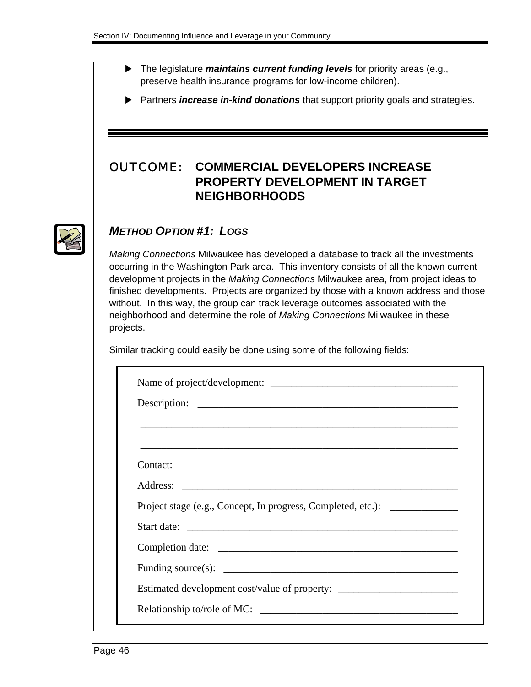- ▶ The legislature *maintains current funding levels* for priority areas (e.g., preserve health insurance programs for low-income children).
- **EX Partners** *increase in-kind donations* that support priority goals and strategies.

### OUTCOME: **COMMERCIAL DEVELOPERS INCREASE PROPERTY DEVELOPMENT IN TARGET NEIGHBORHOODS**



#### *METHOD OPTION #1: LOGS*

*Making Connections* Milwaukee has developed a database to track all the investments occurring in the Washington Park area. This inventory consists of all the known current development projects in the *Making Connections* Milwaukee area, from project ideas to finished developments. Projects are organized by those with a known address and those without. In this way, the group can track leverage outcomes associated with the neighborhood and determine the role of *Making Connections* Milwaukee in these projects.

Similar tracking could easily be done using some of the following fields:

| Project stage (e.g., Concept, In progress, Completed, etc.):                     |  |  |
|----------------------------------------------------------------------------------|--|--|
|                                                                                  |  |  |
|                                                                                  |  |  |
|                                                                                  |  |  |
| Estimated development cost/value of property: __________________________________ |  |  |
|                                                                                  |  |  |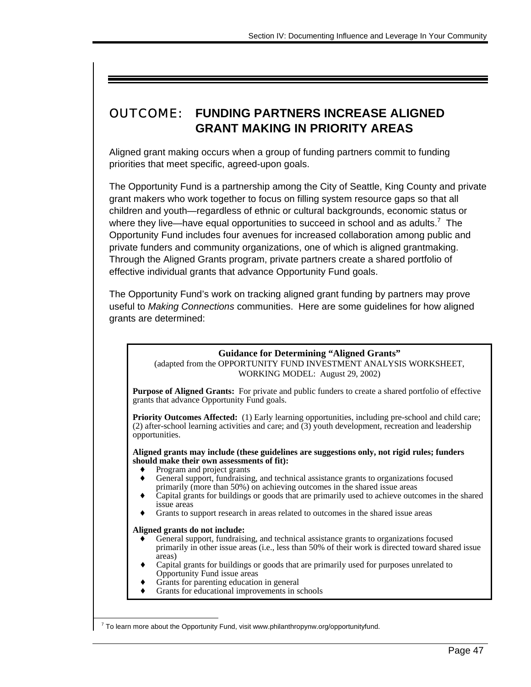### OUTCOME: **FUNDING PARTNERS INCREASE ALIGNED GRANT MAKING IN PRIORITY AREAS**

Aligned grant making occurs when a group of funding partners commit to funding priorities that meet specific, agreed-upon goals.

The Opportunity Fund is a partnership among the City of Seattle, King County and private grant makers who work together to focus on filling system resource gaps so that all children and youth—regardless of ethnic or cultural backgrounds, economic status or where they live—have equal opportunities to succeed in school and as adults.<sup>7</sup> The Opportunity Fund includes four avenues for increased collaboration among p[ub](#page-52-0)lic and private funders and community organizations, one of which is aligned grantmaking. Through the Aligned Grants program, private partners create a shared portfolio of effective individual grants that advance Opportunity Fund goals.

The Opportunity Fund's work on tracking aligned grant funding by partners may prove useful to *Making Connections* communities. Here are some guidelines for how aligned grants are determined:

#### **Guidance for Determining "Aligned Grants"**  (adapted from the OPPORTUNITY FUND INVESTMENT ANALYSIS WORKSHEET, WORKING MODEL: August 29, 2002) **Purpose of Aligned Grants:** For private and public funders to create a shared portfolio of effective grants that advance Opportunity Fund goals. **Priority Outcomes Affected:** (1) Early learning opportunities, including pre-school and child care; (2) after-school learning activities and care; and (3) youth development, recreation and leadership opportunities. **Aligned grants may include (these guidelines are suggestions only, not rigid rules; funders should make their own assessments of fit):**  Program and project grants General support, fundraising, and technical assistance grants to organizations focused primarily (more than 50%) on achieving outcomes in the shared issue areas Capital grants for buildings or goods that are primarily used to achieve outcomes in the shared issue areas Grants to support research in areas related to outcomes in the shared issue areas **Aligned grants do not include:** General support, fundraising, and technical assistance grants to organizations focused primarily in other issue areas (i.e., less than 50% of their work is directed toward shared issue areas) Capital grants for buildings or goods that are primarily used for purposes unrelated to Opportunity Fund issue areas Grants for parenting education in general Grants for educational improvements in schools

<span id="page-52-0"></span>7 To learn more about the Opportunity Fund, visit www.philanthropynw.org/opportunityfund.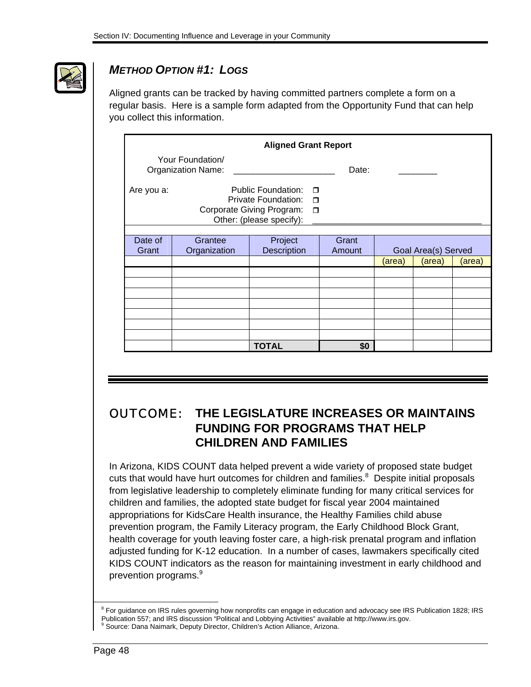

### *METHOD OPTION #1: LOGS*

Aligned grants can be tracked by having committed partners complete a form on a regular basis. Here is a sample form adapted from the Opportunity Fund that can help you collect this information.

|                                                        |                                                                                                                                                       | <b>Aligned Grant Report</b>   |                 |        |                     |        |
|--------------------------------------------------------|-------------------------------------------------------------------------------------------------------------------------------------------------------|-------------------------------|-----------------|--------|---------------------|--------|
| Your Foundation/<br><b>Organization Name:</b><br>Date: |                                                                                                                                                       |                               |                 |        |                     |        |
| Are you a:                                             | <b>Public Foundation:</b><br>$\Box$<br><b>Private Foundation:</b><br>$\Box$<br><b>Corporate Giving Program:</b><br>$\Box$<br>Other: (please specify): |                               |                 |        |                     |        |
|                                                        |                                                                                                                                                       |                               |                 |        |                     |        |
| Date of<br>Grant                                       | Grantee<br>Organization                                                                                                                               | Project<br><b>Description</b> | Grant<br>Amount |        | Goal Area(s) Served |        |
|                                                        |                                                                                                                                                       |                               |                 | (area) | (area)              | (area) |
|                                                        |                                                                                                                                                       |                               |                 |        |                     |        |
|                                                        |                                                                                                                                                       |                               |                 |        |                     |        |
|                                                        |                                                                                                                                                       |                               |                 |        |                     |        |
|                                                        |                                                                                                                                                       |                               |                 |        |                     |        |
|                                                        |                                                                                                                                                       |                               |                 |        |                     |        |
|                                                        |                                                                                                                                                       |                               |                 |        |                     |        |
|                                                        |                                                                                                                                                       | <b>TOTAL</b>                  | \$0             |        |                     |        |

### OUTCOME: **THE LEGISLATURE INCREASES OR MAINTAINS FUNDING FOR PROGRAMS THAT HELP CHILDREN AND FAMILIES**

In Arizona, KIDS COUNT data helped prevent a wide variety of proposed state budget cuts that would have hurt outcomes for children and families. $8$  Despite initial proposals from legislative leadership to completely eliminate funding fo[r m](#page-53-0)any critical services for children and families, the adopted state budget for fiscal year 2004 maintained appropriations for KidsCare Health insurance, the Healthy Families child abuse prevention program, the Family Literacy program, the Early Childhood Block Grant, health coverage for youth leaving foster care, a high-risk prenatal program and inflation adjusted funding for K-12 education. In a number of cases, lawmakers specifically cited KIDS COUNT indicators as the reason for maintaining investment in early childhood and prevention programs.<sup>9</sup>

<span id="page-53-0"></span>8 For guidance on IRS rules governing how nonprofits can engage in education and advocacy see IRS Publication 1828; IRS Publication 557; and IRS discussion "Political and Lobbying Activities" available at http://www.irs.gov.<br><sup>9</sup> Source: Dana Naimark, Deputy Director, Children's Action Alliance, Arizona.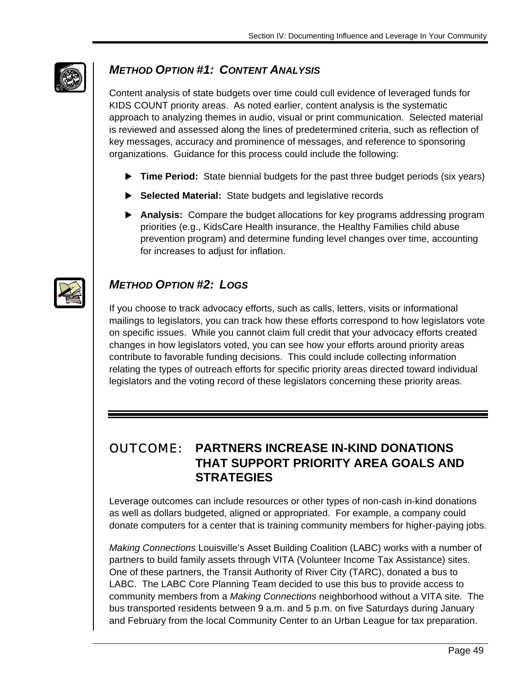

#### *METHOD OPTION #1: CONTENT ANALYSIS*

Content analysis of state budgets over time could cull evidence of leveraged funds for KIDS COUNT priority areas. As noted earlier, content analysis is the systematic approach to analyzing themes in audio, visual or print communication. Selected material is reviewed and assessed along the lines of predetermined criteria, such as reflection of key messages, accuracy and prominence of messages, and reference to sponsoring organizations. Guidance for this process could include the following:

- **Time Period:** State biennial budgets for the past three budget periods (six years)
- ▶ Selected Material: State budgets and legislative records
- ▶ Analysis: Compare the budget allocations for key programs addressing program priorities (e.g., KidsCare Health insurance, the Healthy Families child abuse prevention program) and determine funding level changes over time, accounting for increases to adjust for inflation.



### *METHOD OPTION #2: LOGS*

If you choose to track advocacy efforts, such as calls, letters, visits or informational mailings to legislators, you can track how these efforts correspond to how legislators vote on specific issues. While you cannot claim full credit that your advocacy efforts created changes in how legislators voted, you can see how your efforts around priority areas contribute to favorable funding decisions. This could include collecting information relating the types of outreach efforts for specific priority areas directed toward individual legislators and the voting record of these legislators concerning these priority areas.

### OUTCOME: **PARTNERS INCREASE IN-KIND DONATIONS THAT SUPPORT PRIORITY AREA GOALS AND STRATEGIES**

Leverage outcomes can include resources or other types of non-cash in-kind donations as well as dollars budgeted, aligned or appropriated. For example, a company could donate computers for a center that is training community members for higher-paying jobs.

*Making Connections* Louisville's Asset Building Coalition (LABC) works with a number of partners to build family assets through VITA (Volunteer Income Tax Assistance) sites. One of these partners, the Transit Authority of River City (TARC), donated a bus to LABC. The LABC Core Planning Team decided to use this bus to provide access to community members from a *Making Connections* neighborhood without a VITA site. The bus transported residents between 9 a.m. and 5 p.m. on five Saturdays during January and February from the local Community Center to an Urban League for tax preparation.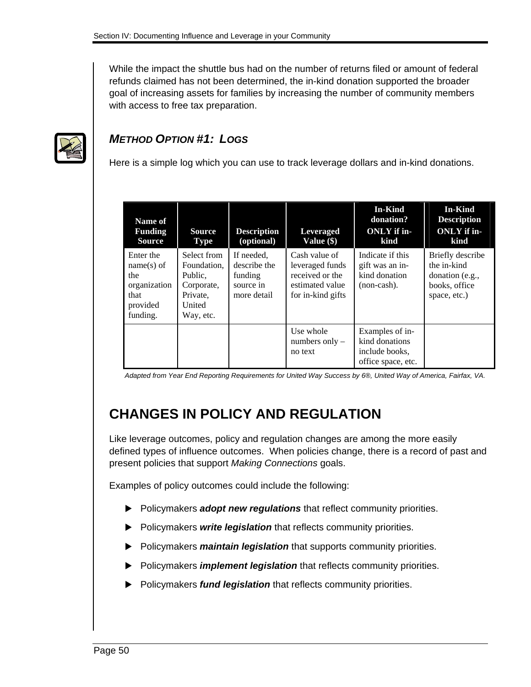While the impact the shuttle bus had on the number of returns filed or amount of federal refunds claimed has not been determined, the in-kind donation supported the broader goal of increasing assets for families by increasing the number of community members with access to free tax preparation.



### *METHOD OPTION #1: LOGS*

Here is a simple log which you can use to track leverage dollars and in-kind donations.

| Name of<br>Funding<br><b>Source</b>                                              | <b>Source</b><br><b>Type</b>                                                           | <b>Description</b><br>(optional)                                  | <b>Leveraged</b><br>Value (\$)                                                              | <b>In-Kind</b><br>donation?<br>ONLY if in-<br>kind                        | In-Kind<br><b>Description</b><br><b>ONLY</b> if in-<br>kind                         |
|----------------------------------------------------------------------------------|----------------------------------------------------------------------------------------|-------------------------------------------------------------------|---------------------------------------------------------------------------------------------|---------------------------------------------------------------------------|-------------------------------------------------------------------------------------|
| Enter the<br>$name(s)$ of<br>the<br>organization<br>that<br>provided<br>funding. | Select from<br>Foundation.<br>Public.<br>Corporate,<br>Private,<br>United<br>Way, etc. | If needed.<br>describe the<br>funding<br>source in<br>more detail | Cash value of<br>leveraged funds<br>received or the<br>estimated value<br>for in-kind gifts | Indicate if this<br>gift was an in-<br>kind donation<br>$(non-cash).$     | Briefly describe<br>the in-kind<br>donation (e.g.,<br>books, office<br>space, etc.) |
|                                                                                  |                                                                                        |                                                                   | Use whole<br>numbers only $-$<br>no text                                                    | Examples of in-<br>kind donations<br>include books.<br>office space, etc. |                                                                                     |

*Adapted from Year End Reporting Requirements for United Way Success by 6®, United Way of America, Fairfax, VA.* 

# **CHANGES IN POLICY AND REGULATION**

Like leverage outcomes, policy and regulation changes are among the more easily defined types of influence outcomes. When policies change, there is a record of past and present policies that support *Making Connections* goals.

Examples of policy outcomes could include the following:

- $\blacktriangleright$  Policymakers *adopt new regulations* that reflect community priorities.
- **EX Policymakers write legislation** that reflects community priorities.
- **EX Policymakers** *maintain legislation* that supports community priorities.
- **EX Policymakers** *implement legislation* that reflects community priorities.
- **EX Policymakers fund legislation** that reflects community priorities.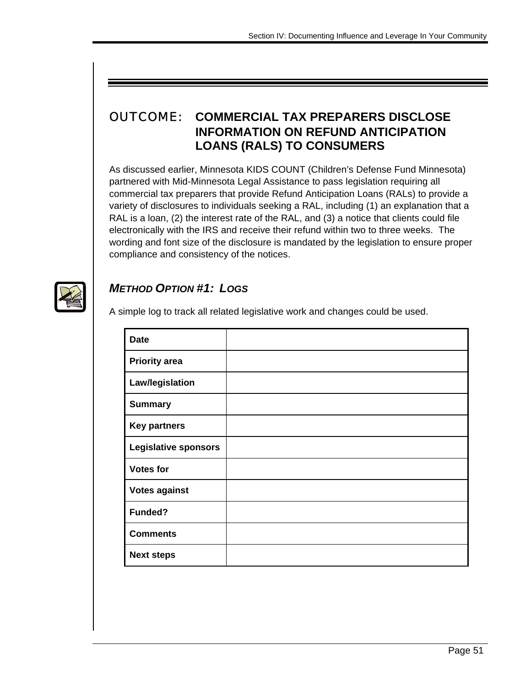### OUTCOME: **COMMERCIAL TAX PREPARERS DISCLOSE INFORMATION ON REFUND ANTICIPATION LOANS (RALS) TO CONSUMERS**

As discussed earlier, Minnesota KIDS COUNT (Children's Defense Fund Minnesota) partnered with Mid-Minnesota Legal Assistance to pass legislation requiring all commercial tax preparers that provide Refund Anticipation Loans (RALs) to provide a variety of disclosures to individuals seeking a RAL, including (1) an explanation that a RAL is a loan, (2) the interest rate of the RAL, and (3) a notice that clients could file electronically with the IRS and receive their refund within two to three weeks. The wording and font size of the disclosure is mandated by the legislation to ensure proper compliance and consistency of the notices.



### *METHOD OPTION #1: LOGS*

A simple log to track all related legislative work and changes could be used.

| <b>Date</b>                 |  |
|-----------------------------|--|
| <b>Priority area</b>        |  |
| Law/legislation             |  |
| <b>Summary</b>              |  |
| <b>Key partners</b>         |  |
| <b>Legislative sponsors</b> |  |
| <b>Votes for</b>            |  |
| <b>Votes against</b>        |  |
| Funded?                     |  |
| <b>Comments</b>             |  |
| <b>Next steps</b>           |  |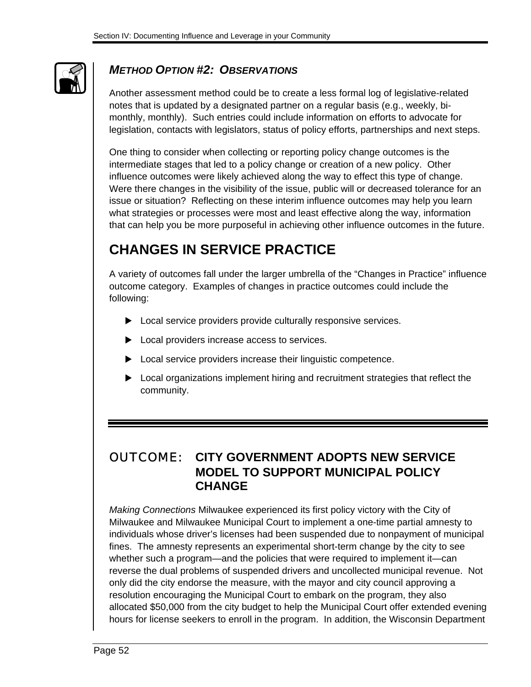

#### *METHOD OPTION #2: OBSERVATIONS*

Another assessment method could be to create a less formal log of legislative-related notes that is updated by a designated partner on a regular basis (e.g., weekly, bimonthly, monthly). Such entries could include information on efforts to advocate for legislation, contacts with legislators, status of policy efforts, partnerships and next steps.

One thing to consider when collecting or reporting policy change outcomes is the intermediate stages that led to a policy change or creation of a new policy. Other influence outcomes were likely achieved along the way to effect this type of change. Were there changes in the visibility of the issue, public will or decreased tolerance for an issue or situation? Reflecting on these interim influence outcomes may help you learn what strategies or processes were most and least effective along the way, information that can help you be more purposeful in achieving other influence outcomes in the future.

# **CHANGES IN SERVICE PRACTICE**

A variety of outcomes fall under the larger umbrella of the "Changes in Practice" influence outcome category. Examples of changes in practice outcomes could include the following:

- $\triangleright$  Local service providers provide culturally responsive services.
- $\blacktriangleright$  Local providers increase access to services.
- $\triangleright$  Local service providers increase their linguistic competence.
- $\blacktriangleright$  Local organizations implement hiring and recruitment strategies that reflect the community.

### OUTCOME: **CITY GOVERNMENT ADOPTS NEW SERVICE MODEL TO SUPPORT MUNICIPAL POLICY CHANGE**

*Making Connections* Milwaukee experienced its first policy victory with the City of Milwaukee and Milwaukee Municipal Court to implement a one-time partial amnesty to individuals whose driver's licenses had been suspended due to nonpayment of municipal fines. The amnesty represents an experimental short-term change by the city to see whether such a program—and the policies that were required to implement it—can reverse the dual problems of suspended drivers and uncollected municipal revenue. Not only did the city endorse the measure, with the mayor and city council approving a resolution encouraging the Municipal Court to embark on the program, they also allocated \$50,000 from the city budget to help the Municipal Court offer extended evening hours for license seekers to enroll in the program. In addition, the Wisconsin Department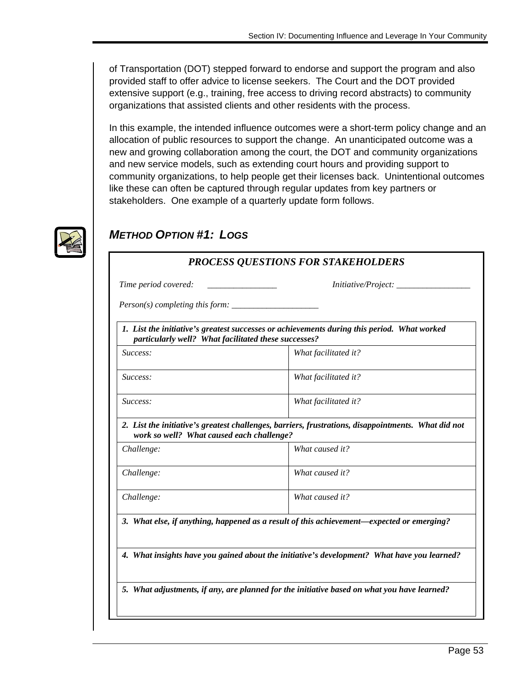of Transportation (DOT) stepped forward to endorse and support the program and also provided staff to offer advice to license seekers. The Court and the DOT provided extensive support (e.g., training, free access to driving record abstracts) to community organizations that assisted clients and other residents with the process.

In this example, the intended influence outcomes were a short-term policy change and an allocation of public resources to support the change. An unanticipated outcome was a new and growing collaboration among the court, the DOT and community organizations and new service models, such as extending court hours and providing support to community organizations, to help people get their licenses back. Unintentional outcomes like these can often be captured through regular updates from key partners or stakeholders. One example of a quarterly update form follows.



### *METHOD OPTION #1: LOGS*

| <b>PROCESS QUESTIONS FOR STAKEHOLDERS</b>                                                                                                           |                             |  |  |  |
|-----------------------------------------------------------------------------------------------------------------------------------------------------|-----------------------------|--|--|--|
| Time period covered:                                                                                                                                | Initiative/Project: _______ |  |  |  |
|                                                                                                                                                     |                             |  |  |  |
| 1. List the initiative's greatest successes or achievements during this period. What worked<br>particularly well? What facilitated these successes? |                             |  |  |  |
| Success:                                                                                                                                            | What facilitated it?        |  |  |  |
| Success:                                                                                                                                            | What facilitated it?        |  |  |  |
| Success:                                                                                                                                            | What facilitated it?        |  |  |  |
| 2. List the initiative's greatest challenges, barriers, frustrations, disappointments. What did not<br>work so well? What caused each challenge?    |                             |  |  |  |
| Challenge:                                                                                                                                          | What caused it?             |  |  |  |
| Challenge:                                                                                                                                          | What caused it?             |  |  |  |
| Challenge:                                                                                                                                          | What caused it?             |  |  |  |
| 3. What else, if anything, happened as a result of this achievement—expected or emerging?                                                           |                             |  |  |  |
| 4. What insights have you gained about the initiative's development? What have you learned?                                                         |                             |  |  |  |
| 5. What adjustments, if any, are planned for the initiative based on what you have learned?                                                         |                             |  |  |  |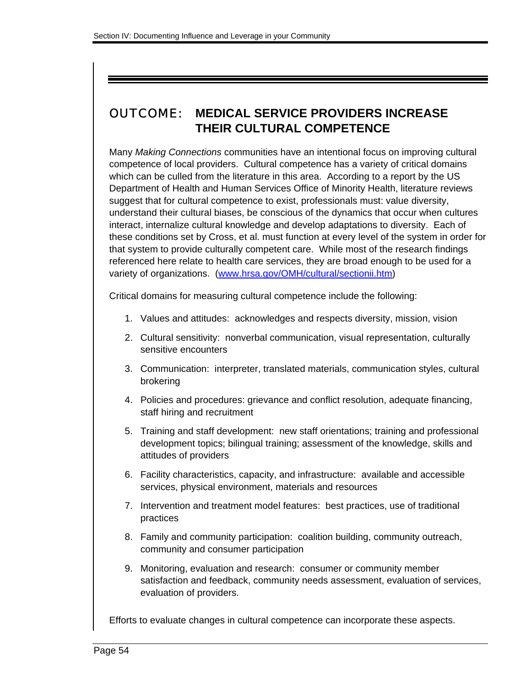### OUTCOME: **MEDICAL SERVICE PROVIDERS INCREASE THEIR CULTURAL COMPETENCE**

Many *Making Connections* communities have an intentional focus on improving cultural competence of local providers. Cultural competence has a variety of critical domains which can be culled from the literature in this area. According to a report by the US Department of Health and Human Services Office of Minority Health, literature reviews suggest that for cultural competence to exist, professionals must: value diversity, understand their cultural biases, be conscious of the dynamics that occur when cultures interact, internalize cultural knowledge and develop adaptations to diversity. Each of these conditions set by Cross, et al. must function at every level of the system in order for that system to provide culturally competent care. While most of the research findings referenced here relate to health care services, they are broad enough to be used for a variety of organizations. ([www.hrsa.gov/OMH/cultural/sectionii.htm\)](http://www.hrsa.gov/OMH/cultural/sectionii.htm)

Critical domains for measuring cultural competence include the following:

- 1. Values and attitudes: acknowledges and respects diversity, mission, vision
- 2. Cultural sensitivity: nonverbal communication, visual representation, culturally sensitive encounters
- 3. Communication: interpreter, translated materials, communication styles, cultural brokering
- 4. Policies and procedures: grievance and conflict resolution, adequate financing, staff hiring and recruitment
- 5. Training and staff development: new staff orientations; training and professional development topics; bilingual training; assessment of the knowledge, skills and attitudes of providers
- 6. Facility characteristics, capacity, and infrastructure: available and accessible services, physical environment, materials and resources
- 7. Intervention and treatment model features: best practices, use of traditional practices
- 8. Family and community participation: coalition building, community outreach, community and consumer participation
- 9. Monitoring, evaluation and research: consumer or community member satisfaction and feedback, community needs assessment, evaluation of services, evaluation of providers.

Efforts to evaluate changes in cultural competence can incorporate these aspects.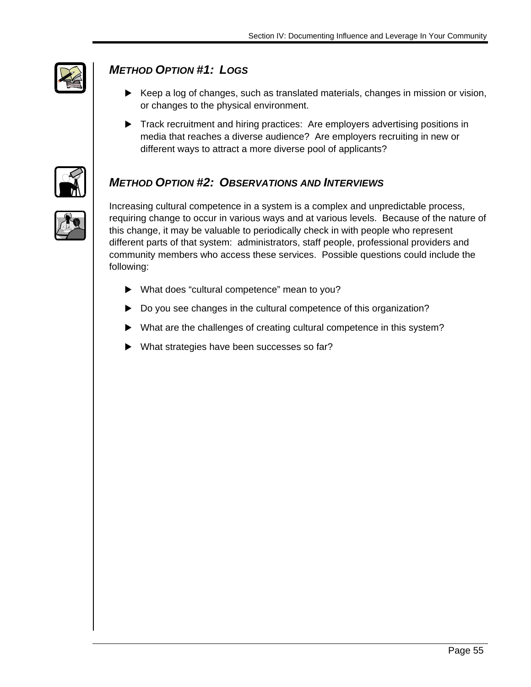

#### *METHOD OPTION #1: LOGS*

- $\blacktriangleright$  Keep a log of changes, such as translated materials, changes in mission or vision, or changes to the physical environment.
- $\blacktriangleright$  Track recruitment and hiring practices: Are employers advertising positions in media that reaches a diverse audience? Are employers recruiting in new or different ways to attract a more diverse pool of applicants?

### *METHOD OPTION #2: OBSERVATIONS AND INTERVIEWS*



Increasing cultural competence in a system is a complex and unpredictable process, requiring change to occur in various ways and at various levels. Because of the nature of this change, it may be valuable to periodically check in with people who represent different parts of that system: administrators, staff people, professional providers and community members who access these services. Possible questions could include the following:

- $\blacktriangleright$  What does "cultural competence" mean to you?
- $\triangleright$  Do you see changes in the cultural competence of this organization?
- $\blacktriangleright$  What are the challenges of creating cultural competence in this system?
- $\blacktriangleright$  What strategies have been successes so far?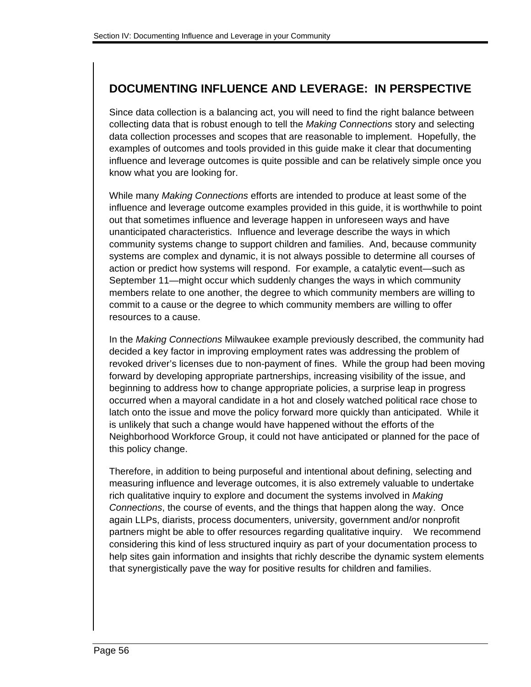### **DOCUMENTING INFLUENCE AND LEVERAGE: IN PERSPECTIVE**

Since data collection is a balancing act, you will need to find the right balance between collecting data that is robust enough to tell the *Making Connections* story and selecting data collection processes and scopes that are reasonable to implement. Hopefully, the examples of outcomes and tools provided in this guide make it clear that documenting influence and leverage outcomes is quite possible and can be relatively simple once you know what you are looking for.

While many *Making Connections* efforts are intended to produce at least some of the influence and leverage outcome examples provided in this guide, it is worthwhile to point out that sometimes influence and leverage happen in unforeseen ways and have unanticipated characteristics. Influence and leverage describe the ways in which community systems change to support children and families. And, because community systems are complex and dynamic, it is not always possible to determine all courses of action or predict how systems will respond. For example, a catalytic event—such as September 11—might occur which suddenly changes the ways in which community members relate to one another, the degree to which community members are willing to commit to a cause or the degree to which community members are willing to offer resources to a cause.

In the *Making Connections* Milwaukee example previously described, the community had decided a key factor in improving employment rates was addressing the problem of revoked driver's licenses due to non-payment of fines. While the group had been moving forward by developing appropriate partnerships, increasing visibility of the issue, and beginning to address how to change appropriate policies, a surprise leap in progress occurred when a mayoral candidate in a hot and closely watched political race chose to latch onto the issue and move the policy forward more quickly than anticipated. While it is unlikely that such a change would have happened without the efforts of the Neighborhood Workforce Group, it could not have anticipated or planned for the pace of this policy change.

Therefore, in addition to being purposeful and intentional about defining, selecting and measuring influence and leverage outcomes, it is also extremely valuable to undertake rich qualitative inquiry to explore and document the systems involved in *Making Connections*, the course of events, and the things that happen along the way. Once again LLPs, diarists, process documenters, university, government and/or nonprofit partners might be able to offer resources regarding qualitative inquiry. We recommend considering this kind of less structured inquiry as part of your documentation process to help sites gain information and insights that richly describe the dynamic system elements that synergistically pave the way for positive results for children and families.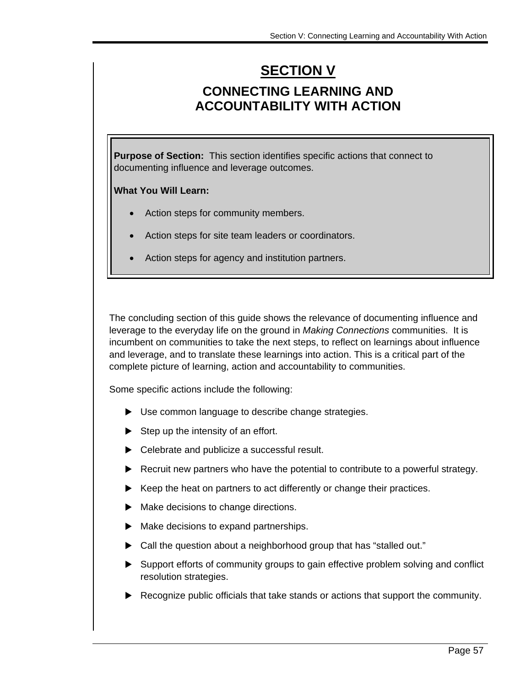# **SECTION V**

### **CONNECTING LEARNING AND ACCOUNTABILITY WITH ACTION**

**Purpose of Section:** This section identifies specific actions that connect to documenting influence and leverage outcomes.

#### **What You Will Learn:**

- Action steps for community members.
- Action steps for site team leaders or coordinators.
- Action steps for agency and institution partners.

The concluding section of this guide shows the relevance of documenting influence and leverage to the everyday life on the ground in *Making Connections* communities. It is incumbent on communities to take the next steps, to reflect on learnings about influence and leverage, and to translate these learnings into action. This is a critical part of the complete picture of learning, action and accountability to communities.

Some specific actions include the following:

- $\triangleright$  Use common language to describe change strategies.
- $\blacktriangleright$  Step up the intensity of an effort.
- $\blacktriangleright$  Celebrate and publicize a successful result.
- $\blacktriangleright$  Recruit new partners who have the potential to contribute to a powerful strategy.
- $\blacktriangleright$  Keep the heat on partners to act differently or change their practices.
- $\blacktriangleright$  Make decisions to change directions.
- $\blacktriangleright$  Make decisions to expand partnerships.
- $\blacktriangleright$  Call the question about a neighborhood group that has "stalled out."
- $\blacktriangleright$  Support efforts of community groups to gain effective problem solving and conflict resolution strategies.
- $\blacktriangleright$  Recognize public officials that take stands or actions that support the community.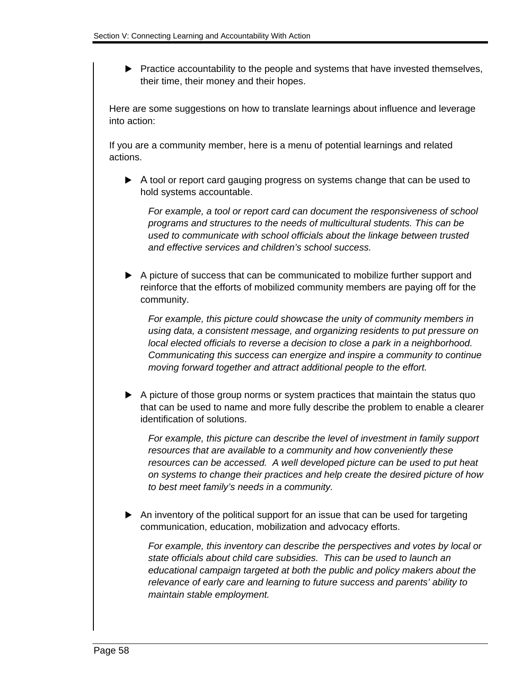$\blacktriangleright$  Practice accountability to the people and systems that have invested themselves, their time, their money and their hopes.

Here are some suggestions on how to translate learnings about influence and leverage into action:

If you are a community member, here is a menu of potential learnings and related actions.

 $\blacktriangleright$  A tool or report card gauging progress on systems change that can be used to hold systems accountable.

*For example, a tool or report card can document the responsiveness of school programs and structures to the needs of multicultural students. This can be used to communicate with school officials about the linkage between trusted and effective services and children's school success.* 

 $\blacktriangleright$  A picture of success that can be communicated to mobilize further support and reinforce that the efforts of mobilized community members are paying off for the community.

*For example, this picture could showcase the unity of community members in using data, a consistent message, and organizing residents to put pressure on local elected officials to reverse a decision to close a park in a neighborhood. Communicating this success can energize and inspire a community to continue moving forward together and attract additional people to the effort.* 

 $\blacktriangleright$  A picture of those group norms or system practices that maintain the status quo that can be used to name and more fully describe the problem to enable a clearer identification of solutions.

*For example, this picture can describe the level of investment in family support resources that are available to a community and how conveniently these resources can be accessed. A well developed picture can be used to put heat on systems to change their practices and help create the desired picture of how to best meet family's needs in a community.* 

 $\blacktriangleright$  An inventory of the political support for an issue that can be used for targeting communication, education, mobilization and advocacy efforts.

*For example, this inventory can describe the perspectives and votes by local or state officials about child care subsidies. This can be used to launch an educational campaign targeted at both the public and policy makers about the relevance of early care and learning to future success and parents' ability to maintain stable employment.*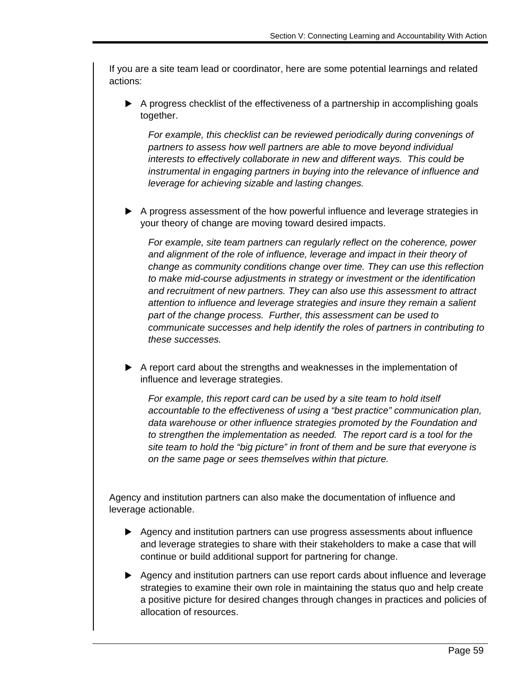If you are a site team lead or coordinator, here are some potential learnings and related actions:

 $\blacktriangleright$  A progress checklist of the effectiveness of a partnership in accomplishing goals together.

*For example, this checklist can be reviewed periodically during convenings of partners to assess how well partners are able to move beyond individual interests to effectively collaborate in new and different ways. This could be instrumental in engaging partners in buying into the relevance of influence and leverage for achieving sizable and lasting changes.* 

 $\blacktriangleright$  A progress assessment of the how powerful influence and leverage strategies in your theory of change are moving toward desired impacts.

For example, site team partners can regularly reflect on the coherence, power *and alignment of the role of influence, leverage and impact in their theory of change as community conditions change over time. They can use this reflection to make mid-course adjustments in strategy or investment or the identification and recruitment of new partners. They can also use this assessment to attract attention to influence and leverage strategies and insure they remain a salient part of the change process. Further, this assessment can be used to communicate successes and help identify the roles of partners in contributing to these successes.* 

 $\blacktriangleright$  A report card about the strengths and weaknesses in the implementation of influence and leverage strategies.

*For example, this report card can be used by a site team to hold itself accountable to the effectiveness of using a "best practice" communication plan, data warehouse or other influence strategies promoted by the Foundation and to strengthen the implementation as needed. The report card is a tool for the site team to hold the "big picture" in front of them and be sure that everyone is on the same page or sees themselves within that picture.* 

Agency and institution partners can also make the documentation of influence and leverage actionable.

- $\blacktriangleright$  Agency and institution partners can use progress assessments about influence and leverage strategies to share with their stakeholders to make a case that will continue or build additional support for partnering for change.
- ▶ Agency and institution partners can use report cards about influence and leverage strategies to examine their own role in maintaining the status quo and help create a positive picture for desired changes through changes in practices and policies of allocation of resources.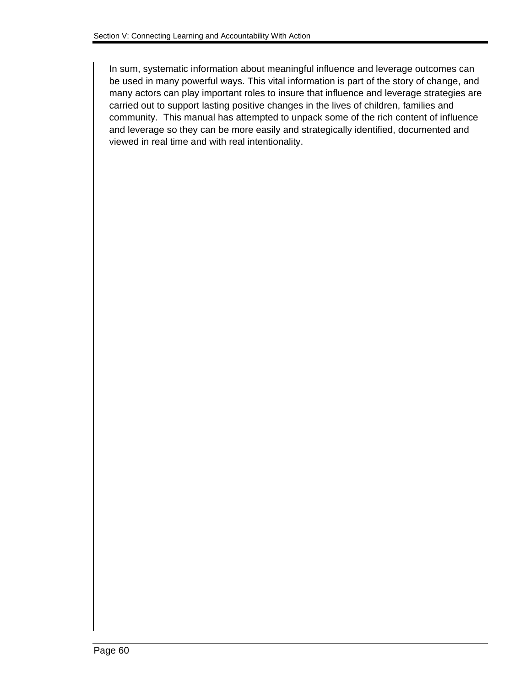In sum, systematic information about meaningful influence and leverage outcomes can be used in many powerful ways. This vital information is part of the story of change, and many actors can play important roles to insure that influence and leverage strategies are carried out to support lasting positive changes in the lives of children, families and community. This manual has attempted to unpack some of the rich content of influence and leverage so they can be more easily and strategically identified, documented and viewed in real time and with real intentionality.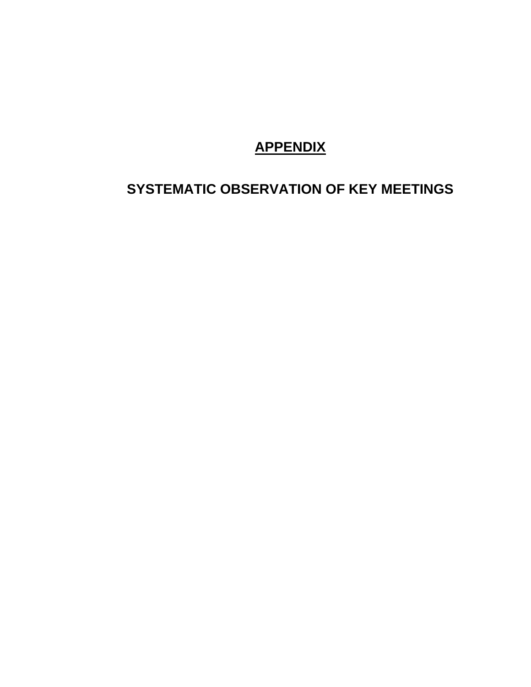# **APPENDIX**

# **SYSTEMATIC OBSERVATION OF KEY MEETINGS**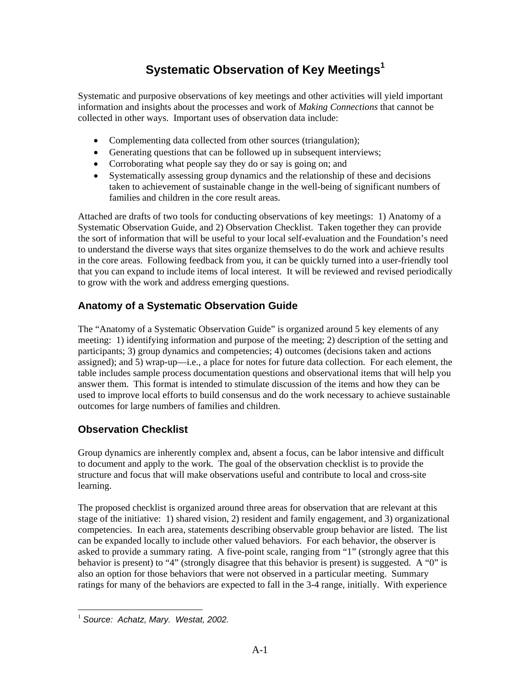### **Systematic Observation of Key Meetings[1](#page-67-0)**

Systematic and purposive observations of key meetings and other activities will yield important information and insights about the processes and work of *Making Connections* that cannot be collected in other ways. Important uses of observation data include:

- Complementing data collected from other sources (triangulation);
- Generating questions that can be followed up in subsequent interviews;
- Corroborating what people say they do or say is going on; and
- Systematically assessing group dynamics and the relationship of these and decisions taken to achievement of sustainable change in the well-being of significant numbers of families and children in the core result areas.

Attached are drafts of two tools for conducting observations of key meetings: 1) Anatomy of a Systematic Observation Guide, and 2) Observation Checklist. Taken together they can provide the sort of information that will be useful to your local self-evaluation and the Foundation's need to understand the diverse ways that sites organize themselves to do the work and achieve results in the core areas. Following feedback from you, it can be quickly turned into a user-friendly tool that you can expand to include items of local interest. It will be reviewed and revised periodically to grow with the work and address emerging questions.

#### **Anatomy of a Systematic Observation Guide**

The "Anatomy of a Systematic Observation Guide" is organized around 5 key elements of any meeting: 1) identifying information and purpose of the meeting; 2) description of the setting and participants; 3) group dynamics and competencies; 4) outcomes (decisions taken and actions assigned); and 5) wrap-up—i.e., a place for notes for future data collection. For each element, the table includes sample process documentation questions and observational items that will help you answer them. This format is intended to stimulate discussion of the items and how they can be used to improve local efforts to build consensus and do the work necessary to achieve sustainable outcomes for large numbers of families and children.

#### **Observation Checklist**

Group dynamics are inherently complex and, absent a focus, can be labor intensive and difficult to document and apply to the work. The goal of the observation checklist is to provide the structure and focus that will make observations useful and contribute to local and cross-site learning.

The proposed checklist is organized around three areas for observation that are relevant at this stage of the initiative: 1) shared vision, 2) resident and family engagement, and 3) organizational competencies. In each area, statements describing observable group behavior are listed. The list can be expanded locally to include other valued behaviors. For each behavior, the observer is asked to provide a summary rating. A five-point scale, ranging from "1" (strongly agree that this behavior is present) to "4" (strongly disagree that this behavior is present) is suggested. A "0" is also an option for those behaviors that were not observed in a particular meeting. Summary ratings for many of the behaviors are expected to fall in the 3-4 range, initially. With experience

<span id="page-67-0"></span> $\overline{a}$ <sup>1</sup> *Source: Achatz, Mary. Westat, 2002.*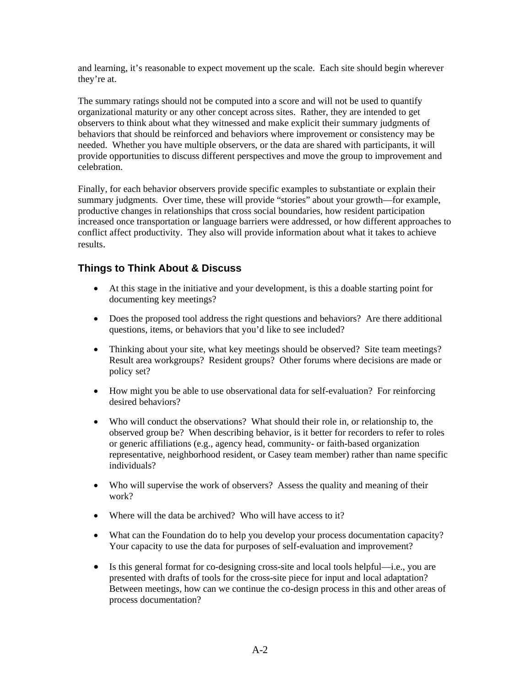and learning, it's reasonable to expect movement up the scale. Each site should begin wherever they're at.

The summary ratings should not be computed into a score and will not be used to quantify organizational maturity or any other concept across sites. Rather, they are intended to get observers to think about what they witnessed and make explicit their summary judgments of behaviors that should be reinforced and behaviors where improvement or consistency may be needed. Whether you have multiple observers, or the data are shared with participants, it will provide opportunities to discuss different perspectives and move the group to improvement and celebration.

Finally, for each behavior observers provide specific examples to substantiate or explain their summary judgments. Over time, these will provide "stories" about your growth—for example, productive changes in relationships that cross social boundaries, how resident participation increased once transportation or language barriers were addressed, or how different approaches to conflict affect productivity. They also will provide information about what it takes to achieve results.

#### **Things to Think About & Discuss**

- At this stage in the initiative and your development, is this a doable starting point for documenting key meetings?
- Does the proposed tool address the right questions and behaviors? Are there additional questions, items, or behaviors that you'd like to see included?
- Thinking about your site, what key meetings should be observed? Site team meetings? Result area workgroups? Resident groups? Other forums where decisions are made or policy set?
- How might you be able to use observational data for self-evaluation? For reinforcing desired behaviors?
- Who will conduct the observations? What should their role in, or relationship to, the observed group be? When describing behavior, is it better for recorders to refer to roles or generic affiliations (e.g., agency head, community- or faith-based organization representative, neighborhood resident, or Casey team member) rather than name specific individuals?
- Who will supervise the work of observers? Assess the quality and meaning of their work?
- Where will the data be archived? Who will have access to it?
- What can the Foundation do to help you develop your process documentation capacity? Your capacity to use the data for purposes of self-evaluation and improvement?
- Is this general format for co-designing cross-site and local tools helpful—i.e., you are presented with drafts of tools for the cross-site piece for input and local adaptation? Between meetings, how can we continue the co-design process in this and other areas of process documentation?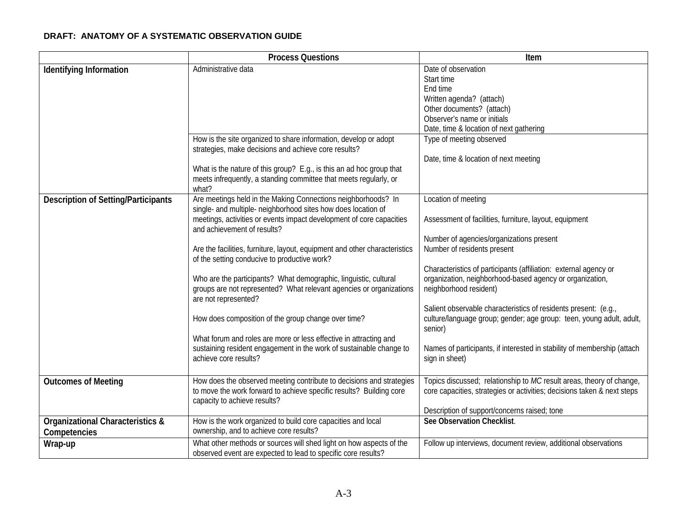#### **DRAFT: ANATOMY OF A SYSTEMATIC OBSERVATION GUIDE**

|                                            | <b>Process Questions</b>                                                                                                             | Item                                                                                                                         |
|--------------------------------------------|--------------------------------------------------------------------------------------------------------------------------------------|------------------------------------------------------------------------------------------------------------------------------|
| Identifying Information                    | Administrative data                                                                                                                  | Date of observation<br>Start time                                                                                            |
|                                            |                                                                                                                                      | End time                                                                                                                     |
|                                            |                                                                                                                                      | Written agenda? (attach)                                                                                                     |
|                                            |                                                                                                                                      | Other documents? (attach)                                                                                                    |
|                                            |                                                                                                                                      | Observer's name or initials                                                                                                  |
|                                            |                                                                                                                                      | Date, time & location of next gathering                                                                                      |
|                                            | How is the site organized to share information, develop or adopt<br>strategies, make decisions and achieve core results?             | Type of meeting observed                                                                                                     |
|                                            |                                                                                                                                      | Date, time & location of next meeting                                                                                        |
|                                            | What is the nature of this group? E.g., is this an ad hoc group that                                                                 |                                                                                                                              |
|                                            | meets infrequently, a standing committee that meets regularly, or<br>what?                                                           |                                                                                                                              |
| <b>Description of Setting/Participants</b> | Are meetings held in the Making Connections neighborhoods? In<br>single- and multiple- neighborhood sites how does location of       | Location of meeting                                                                                                          |
|                                            | meetings, activities or events impact development of core capacities<br>and achievement of results?                                  | Assessment of facilities, furniture, layout, equipment                                                                       |
|                                            |                                                                                                                                      | Number of agencies/organizations present                                                                                     |
|                                            | Are the facilities, furniture, layout, equipment and other characteristics<br>of the setting conducive to productive work?           | Number of residents present                                                                                                  |
|                                            | Who are the participants? What demographic, linguistic, cultural                                                                     | Characteristics of participants (affiliation: external agency or<br>organization, neighborhood-based agency or organization, |
|                                            | groups are not represented? What relevant agencies or organizations<br>are not represented?                                          | neighborhood resident)                                                                                                       |
|                                            |                                                                                                                                      | Salient observable characteristics of residents present: (e.g.,                                                              |
|                                            | How does composition of the group change over time?                                                                                  | culture/language group; gender; age group: teen, young adult, adult,<br>senior)                                              |
|                                            | What forum and roles are more or less effective in attracting and                                                                    |                                                                                                                              |
|                                            | sustaining resident engagement in the work of sustainable change to<br>achieve core results?                                         | Names of participants, if interested in stability of membership (attach<br>sign in sheet)                                    |
|                                            |                                                                                                                                      |                                                                                                                              |
| <b>Outcomes of Meeting</b>                 | How does the observed meeting contribute to decisions and strategies                                                                 | Topics discussed; relationship to MC result areas, theory of change,                                                         |
|                                            | to move the work forward to achieve specific results? Building core                                                                  | core capacities, strategies or activities; decisions taken & next steps                                                      |
|                                            | capacity to achieve results?                                                                                                         |                                                                                                                              |
|                                            |                                                                                                                                      | Description of support/concerns raised; tone                                                                                 |
| Organizational Characteristics &           | How is the work organized to build core capacities and local                                                                         | See Observation Checklist.                                                                                                   |
| Competencies                               | ownership, and to achieve core results?                                                                                              |                                                                                                                              |
| Wrap-up                                    | What other methods or sources will shed light on how aspects of the<br>observed event are expected to lead to specific core results? | Follow up interviews, document review, additional observations                                                               |